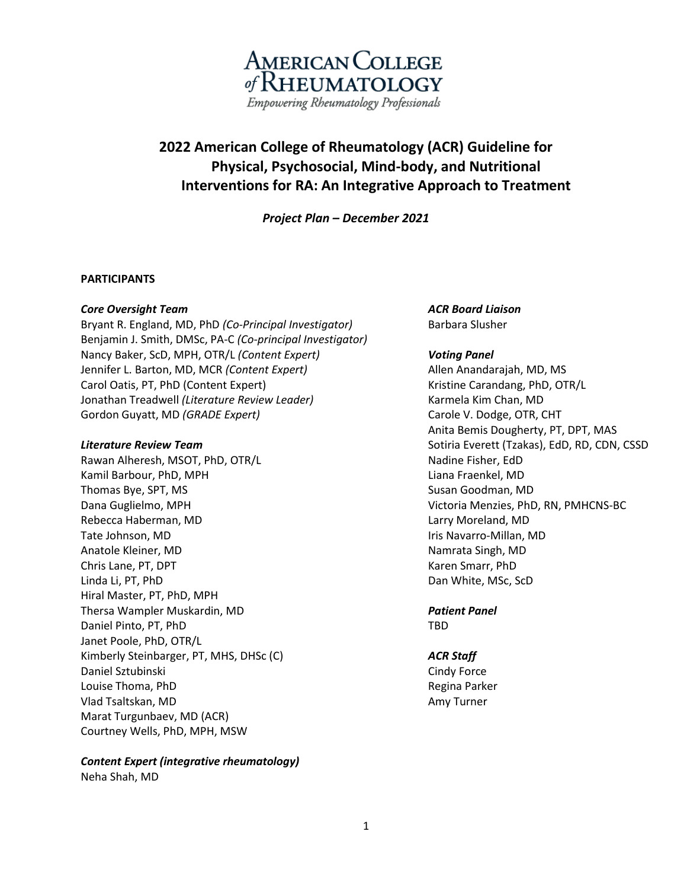

*Project Plan – December 2021*

#### **PARTICIPANTS**

#### *Core Oversight Team*

Bryant R. England, MD, PhD *(Co-Principal Investigator)* Benjamin J. Smith, DMSc, PA-C *(Co-principal Investigator)* Nancy Baker, ScD, MPH, OTR/L *(Content Expert)* Jennifer L. Barton, MD, MCR *(Content Expert)* Carol Oatis, PT, PhD (Content Expert) Jonathan Treadwell *(Literature Review Leader)* Gordon Guyatt, MD *(GRADE Expert)*

#### *Literature Review Team*

Rawan Alheresh, MSOT, PhD, OTR/L Kamil Barbour, PhD, MPH Thomas Bye, SPT, MS Dana Guglielmo, MPH Rebecca Haberman, MD Tate Johnson, MD Anatole Kleiner, MD Chris Lane, PT, DPT Linda Li, PT, PhD Hiral Master, PT, PhD, MPH Thersa Wampler Muskardin, MD Daniel Pinto, PT, PhD Janet Poole, PhD, OTR/L Kimberly Steinbarger, PT, MHS, DHSc (C) Daniel Sztubinski Louise Thoma, PhD Vlad Tsaltskan, MD Marat Turgunbaev, MD (ACR) Courtney Wells, PhD, MPH, MSW

#### *Content Expert (integrative rheumatology)* Neha Shah, MD

*ACR Board Liaison* Barbara Slusher

#### *Voting Panel*

Allen Anandarajah, MD, MS Kristine Carandang, PhD, OTR/L Karmela Kim Chan, MD Carole V. Dodge, OTR, CHT Anita Bemis Dougherty, PT, DPT, MAS Sotiria Everett (Tzakas), EdD, RD, CDN, CSSD Nadine Fisher, EdD Liana Fraenkel, MD Susan Goodman, MD Victoria Menzies, PhD, RN, PMHCNS-BC Larry Moreland, MD Iris Navarro-Millan, MD Namrata Singh, MD Karen Smarr, PhD Dan White, MSc, ScD

## *Patient Panel*

TBD

#### *ACR Staff*

Cindy Force Regina Parker Amy Turner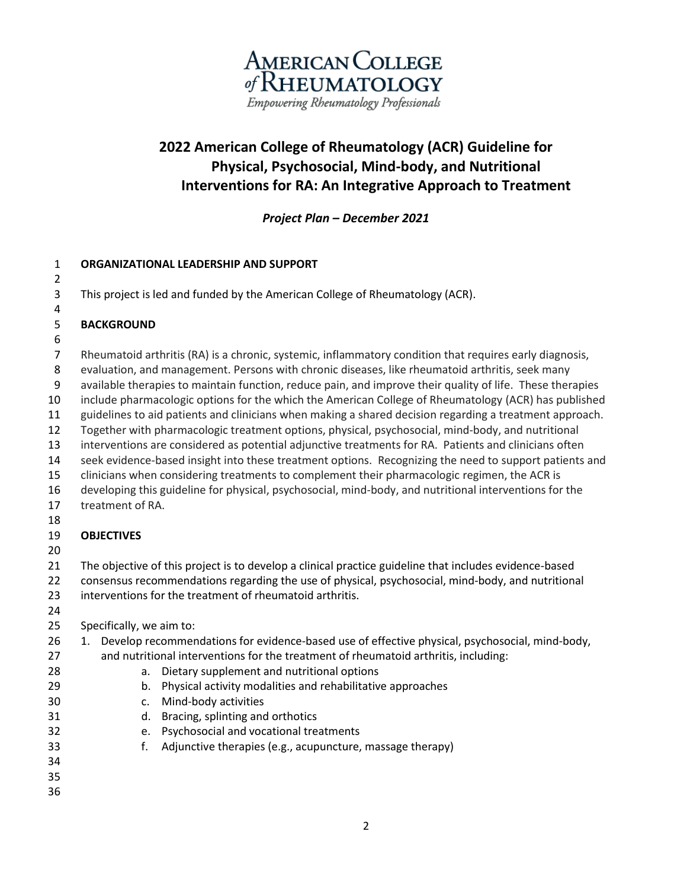

| $\mathbf{1}$                                                                  | ORGANIZATIONAL LEADERSHIP AND SUPPORT                                                                                                                                                                                                                                                                                                                                                                                                                                                                                                                                                                                                                                                                                                                                                                                                                                                                                                                                                                                                                                                            |  |  |  |  |  |  |  |  |
|-------------------------------------------------------------------------------|--------------------------------------------------------------------------------------------------------------------------------------------------------------------------------------------------------------------------------------------------------------------------------------------------------------------------------------------------------------------------------------------------------------------------------------------------------------------------------------------------------------------------------------------------------------------------------------------------------------------------------------------------------------------------------------------------------------------------------------------------------------------------------------------------------------------------------------------------------------------------------------------------------------------------------------------------------------------------------------------------------------------------------------------------------------------------------------------------|--|--|--|--|--|--|--|--|
| $\overline{2}$<br>3                                                           | This project is led and funded by the American College of Rheumatology (ACR).                                                                                                                                                                                                                                                                                                                                                                                                                                                                                                                                                                                                                                                                                                                                                                                                                                                                                                                                                                                                                    |  |  |  |  |  |  |  |  |
| 4<br>5                                                                        | <b>BACKGROUND</b>                                                                                                                                                                                                                                                                                                                                                                                                                                                                                                                                                                                                                                                                                                                                                                                                                                                                                                                                                                                                                                                                                |  |  |  |  |  |  |  |  |
| 6<br>$\overline{7}$<br>8<br>9<br>10<br>11<br>12<br>13<br>14<br>15<br>16<br>17 | Rheumatoid arthritis (RA) is a chronic, systemic, inflammatory condition that requires early diagnosis,<br>evaluation, and management. Persons with chronic diseases, like rheumatoid arthritis, seek many<br>available therapies to maintain function, reduce pain, and improve their quality of life. These therapies<br>include pharmacologic options for the which the American College of Rheumatology (ACR) has published<br>guidelines to aid patients and clinicians when making a shared decision regarding a treatment approach.<br>Together with pharmacologic treatment options, physical, psychosocial, mind-body, and nutritional<br>interventions are considered as potential adjunctive treatments for RA. Patients and clinicians often<br>seek evidence-based insight into these treatment options. Recognizing the need to support patients and<br>clinicians when considering treatments to complement their pharmacologic regimen, the ACR is<br>developing this guideline for physical, psychosocial, mind-body, and nutritional interventions for the<br>treatment of RA. |  |  |  |  |  |  |  |  |
| 18<br>19<br>20                                                                | <b>OBJECTIVES</b>                                                                                                                                                                                                                                                                                                                                                                                                                                                                                                                                                                                                                                                                                                                                                                                                                                                                                                                                                                                                                                                                                |  |  |  |  |  |  |  |  |
| 21<br>22<br>23                                                                | The objective of this project is to develop a clinical practice guideline that includes evidence-based<br>consensus recommendations regarding the use of physical, psychosocial, mind-body, and nutritional<br>interventions for the treatment of rheumatoid arthritis.                                                                                                                                                                                                                                                                                                                                                                                                                                                                                                                                                                                                                                                                                                                                                                                                                          |  |  |  |  |  |  |  |  |
| 24<br>25<br>26<br>27<br>28<br>29<br>30<br>31<br>32<br>33<br>34<br>35<br>36    | Specifically, we aim to:<br>1. Develop recommendations for evidence-based use of effective physical, psychosocial, mind-body,<br>and nutritional interventions for the treatment of rheumatoid arthritis, including:<br>a. Dietary supplement and nutritional options<br>b. Physical activity modalities and rehabilitative approaches<br>c. Mind-body activities<br>d. Bracing, splinting and orthotics<br>e. Psychosocial and vocational treatments<br>f.<br>Adjunctive therapies (e.g., acupuncture, massage therapy)                                                                                                                                                                                                                                                                                                                                                                                                                                                                                                                                                                         |  |  |  |  |  |  |  |  |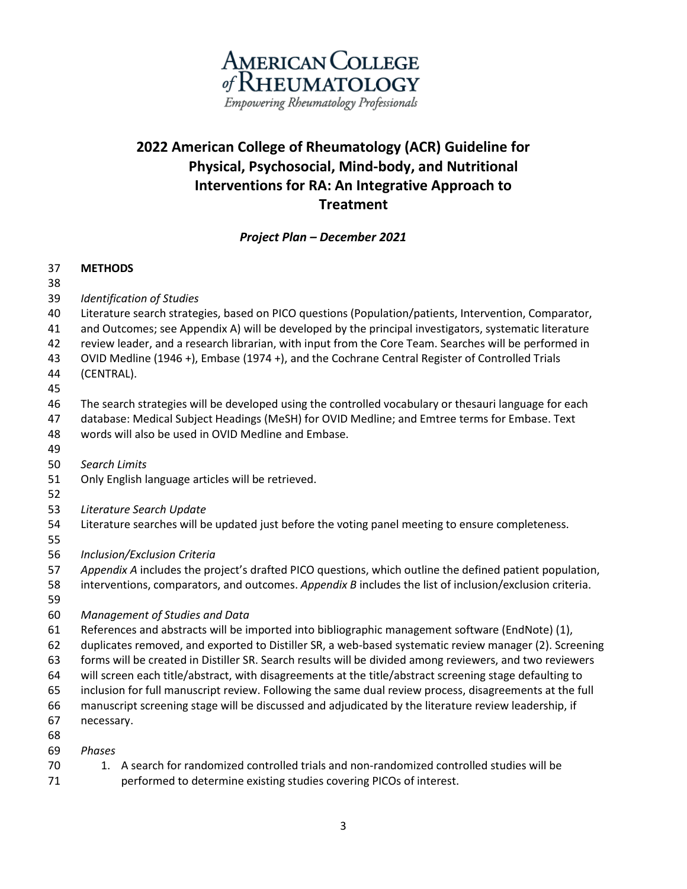

### *Project Plan – December 2021*

**METHODS** 

| 38       |                                                                                                                                                                                                                     |
|----------|---------------------------------------------------------------------------------------------------------------------------------------------------------------------------------------------------------------------|
| 39       | <b>Identification of Studies</b>                                                                                                                                                                                    |
| 40       | Literature search strategies, based on PICO questions (Population/patients, Intervention, Comparator,                                                                                                               |
| 41       | and Outcomes; see Appendix A) will be developed by the principal investigators, systematic literature                                                                                                               |
| 42       | review leader, and a research librarian, with input from the Core Team. Searches will be performed in                                                                                                               |
| 43       | OVID Medline (1946 +), Embase (1974 +), and the Cochrane Central Register of Controlled Trials                                                                                                                      |
| 44       | (CENTRAL).                                                                                                                                                                                                          |
| 45       |                                                                                                                                                                                                                     |
| 46       | The search strategies will be developed using the controlled vocabulary or thesauri language for each                                                                                                               |
| 47<br>48 | database: Medical Subject Headings (MeSH) for OVID Medline; and Emtree terms for Embase. Text<br>words will also be used in OVID Medline and Embase.                                                                |
| 49       |                                                                                                                                                                                                                     |
| 50       | Search Limits                                                                                                                                                                                                       |
| 51       | Only English language articles will be retrieved.                                                                                                                                                                   |
| 52       |                                                                                                                                                                                                                     |
| 53       | Literature Search Update                                                                                                                                                                                            |
| 54       | Literature searches will be updated just before the voting panel meeting to ensure completeness.                                                                                                                    |
| 55       |                                                                                                                                                                                                                     |
| 56       | Inclusion/Exclusion Criteria                                                                                                                                                                                        |
| 57       | Appendix A includes the project's drafted PICO questions, which outline the defined patient population,                                                                                                             |
| 58       | interventions, comparators, and outcomes. Appendix B includes the list of inclusion/exclusion criteria.                                                                                                             |
| 59       |                                                                                                                                                                                                                     |
| 60       | Management of Studies and Data                                                                                                                                                                                      |
| 61       | References and abstracts will be imported into bibliographic management software (EndNote) (1),                                                                                                                     |
| 62<br>63 | duplicates removed, and exported to Distiller SR, a web-based systematic review manager (2). Screening                                                                                                              |
| 64       | forms will be created in Distiller SR. Search results will be divided among reviewers, and two reviewers<br>will screen each title/abstract, with disagreements at the title/abstract screening stage defaulting to |
| 65       | inclusion for full manuscript review. Following the same dual review process, disagreements at the full                                                                                                             |
| 66       | manuscript screening stage will be discussed and adjudicated by the literature review leadership, if                                                                                                                |
| 67       | necessary.                                                                                                                                                                                                          |
| 68       |                                                                                                                                                                                                                     |
| 69       | Phases                                                                                                                                                                                                              |
|          |                                                                                                                                                                                                                     |

 1. A search for randomized controlled trials and non-randomized controlled studies will be performed to determine existing studies covering PICOs of interest.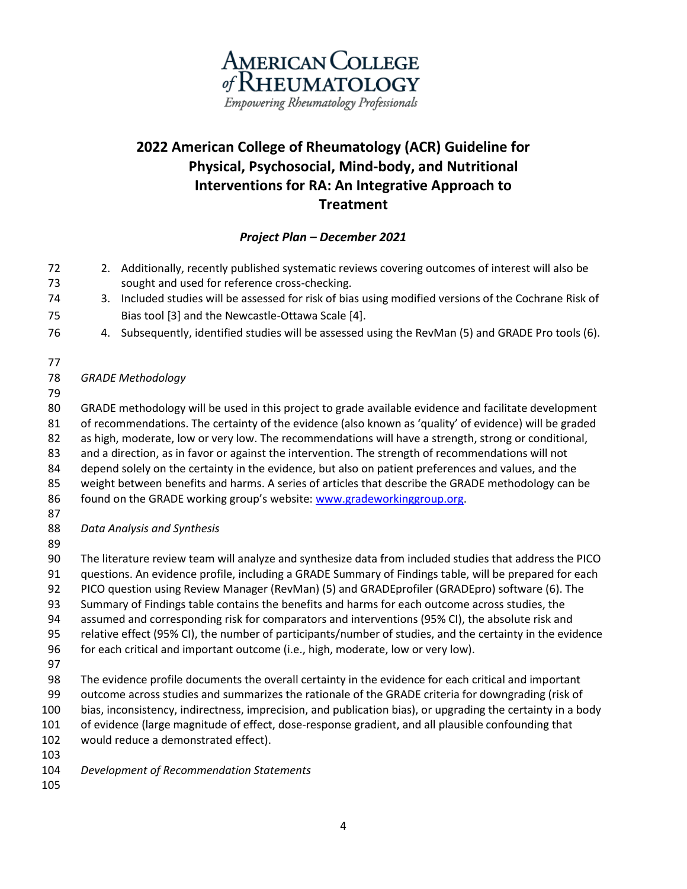

| 72<br>73 |    | 2. Additionally, recently published systematic reviews covering outcomes of interest will also be<br>sought and used for reference cross-checking.                                                            |
|----------|----|---------------------------------------------------------------------------------------------------------------------------------------------------------------------------------------------------------------|
| 74       | 3. | Included studies will be assessed for risk of bias using modified versions of the Cochrane Risk of                                                                                                            |
| 75       |    | Bias tool [3] and the Newcastle-Ottawa Scale [4].                                                                                                                                                             |
| 76       | 4. | Subsequently, identified studies will be assessed using the RevMan (5) and GRADE Pro tools (6).                                                                                                               |
|          |    |                                                                                                                                                                                                               |
| 77       |    |                                                                                                                                                                                                               |
| 78       |    | <b>GRADE Methodology</b>                                                                                                                                                                                      |
| 79       |    |                                                                                                                                                                                                               |
| 80       |    | GRADE methodology will be used in this project to grade available evidence and facilitate development                                                                                                         |
| 81       |    | of recommendations. The certainty of the evidence (also known as 'quality' of evidence) will be graded                                                                                                        |
| 82       |    | as high, moderate, low or very low. The recommendations will have a strength, strong or conditional,                                                                                                          |
| 83       |    | and a direction, as in favor or against the intervention. The strength of recommendations will not                                                                                                            |
| 84       |    | depend solely on the certainty in the evidence, but also on patient preferences and values, and the                                                                                                           |
| 85       |    | weight between benefits and harms. A series of articles that describe the GRADE methodology can be                                                                                                            |
| 86       |    | found on the GRADE working group's website: www.gradeworkinggroup.org.                                                                                                                                        |
| 87       |    |                                                                                                                                                                                                               |
| 88       |    | Data Analysis and Synthesis                                                                                                                                                                                   |
| 89       |    |                                                                                                                                                                                                               |
| 90       |    | The literature review team will analyze and synthesize data from included studies that address the PICO                                                                                                       |
| 91       |    | questions. An evidence profile, including a GRADE Summary of Findings table, will be prepared for each                                                                                                        |
| 92       |    | PICO question using Review Manager (RevMan) (5) and GRADEprofiler (GRADEpro) software (6). The                                                                                                                |
| 93       |    | Summary of Findings table contains the benefits and harms for each outcome across studies, the                                                                                                                |
| 94<br>95 |    | assumed and corresponding risk for comparators and interventions (95% CI), the absolute risk and<br>relative effect (95% CI), the number of participants/number of studies, and the certainty in the evidence |
| 96       |    | for each critical and important outcome (i.e., high, moderate, low or very low).                                                                                                                              |
| 97       |    |                                                                                                                                                                                                               |
| 98       |    | The evidence profile documents the overall certainty in the evidence for each critical and important                                                                                                          |
| 99       |    | outcome across studies and summarizes the rationale of the GRADE criteria for downgrading (risk of                                                                                                            |
| 100      |    | bias, inconsistency, indirectness, imprecision, and publication bias), or upgrading the certainty in a body                                                                                                   |
| 101      |    | of evidence (large magnitude of effect, dose-response gradient, and all plausible confounding that                                                                                                            |
| 102      |    | would reduce a demonstrated effect).                                                                                                                                                                          |
| 103      |    |                                                                                                                                                                                                               |
| 104      |    | Development of Recommendation Statements                                                                                                                                                                      |
| 105      |    |                                                                                                                                                                                                               |
|          |    |                                                                                                                                                                                                               |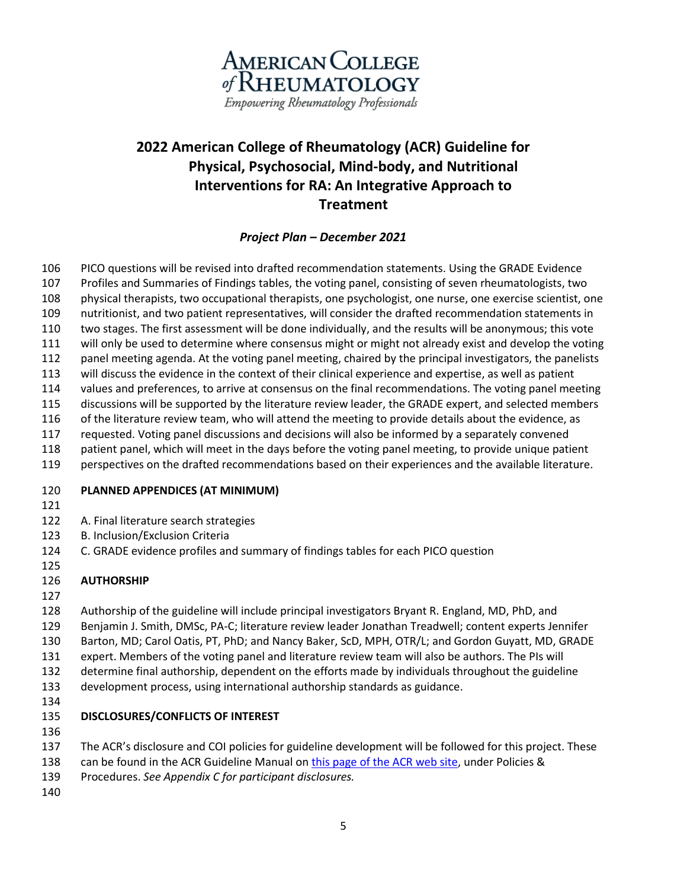

| 106<br>107<br>108<br>109<br>110<br>111<br>112<br>113<br>114<br>115<br>116<br>117<br>118<br>119 | PICO questions will be revised into drafted recommendation statements. Using the GRADE Evidence<br>Profiles and Summaries of Findings tables, the voting panel, consisting of seven rheumatologists, two<br>physical therapists, two occupational therapists, one psychologist, one nurse, one exercise scientist, one<br>nutritionist, and two patient representatives, will consider the drafted recommendation statements in<br>two stages. The first assessment will be done individually, and the results will be anonymous; this vote<br>will only be used to determine where consensus might or might not already exist and develop the voting<br>panel meeting agenda. At the voting panel meeting, chaired by the principal investigators, the panelists<br>will discuss the evidence in the context of their clinical experience and expertise, as well as patient<br>values and preferences, to arrive at consensus on the final recommendations. The voting panel meeting<br>discussions will be supported by the literature review leader, the GRADE expert, and selected members<br>of the literature review team, who will attend the meeting to provide details about the evidence, as<br>requested. Voting panel discussions and decisions will also be informed by a separately convened<br>patient panel, which will meet in the days before the voting panel meeting, to provide unique patient<br>perspectives on the drafted recommendations based on their experiences and the available literature. |
|------------------------------------------------------------------------------------------------|-----------------------------------------------------------------------------------------------------------------------------------------------------------------------------------------------------------------------------------------------------------------------------------------------------------------------------------------------------------------------------------------------------------------------------------------------------------------------------------------------------------------------------------------------------------------------------------------------------------------------------------------------------------------------------------------------------------------------------------------------------------------------------------------------------------------------------------------------------------------------------------------------------------------------------------------------------------------------------------------------------------------------------------------------------------------------------------------------------------------------------------------------------------------------------------------------------------------------------------------------------------------------------------------------------------------------------------------------------------------------------------------------------------------------------------------------------------------------------------------------------------------------------|
| 120<br>121                                                                                     | PLANNED APPENDICES (AT MINIMUM)                                                                                                                                                                                                                                                                                                                                                                                                                                                                                                                                                                                                                                                                                                                                                                                                                                                                                                                                                                                                                                                                                                                                                                                                                                                                                                                                                                                                                                                                                             |
| 122                                                                                            | A. Final literature search strategies                                                                                                                                                                                                                                                                                                                                                                                                                                                                                                                                                                                                                                                                                                                                                                                                                                                                                                                                                                                                                                                                                                                                                                                                                                                                                                                                                                                                                                                                                       |
| 123                                                                                            | B. Inclusion/Exclusion Criteria                                                                                                                                                                                                                                                                                                                                                                                                                                                                                                                                                                                                                                                                                                                                                                                                                                                                                                                                                                                                                                                                                                                                                                                                                                                                                                                                                                                                                                                                                             |
| 124                                                                                            | C. GRADE evidence profiles and summary of findings tables for each PICO question                                                                                                                                                                                                                                                                                                                                                                                                                                                                                                                                                                                                                                                                                                                                                                                                                                                                                                                                                                                                                                                                                                                                                                                                                                                                                                                                                                                                                                            |
| 125                                                                                            |                                                                                                                                                                                                                                                                                                                                                                                                                                                                                                                                                                                                                                                                                                                                                                                                                                                                                                                                                                                                                                                                                                                                                                                                                                                                                                                                                                                                                                                                                                                             |
| 126                                                                                            | <b>AUTHORSHIP</b>                                                                                                                                                                                                                                                                                                                                                                                                                                                                                                                                                                                                                                                                                                                                                                                                                                                                                                                                                                                                                                                                                                                                                                                                                                                                                                                                                                                                                                                                                                           |
| 127                                                                                            |                                                                                                                                                                                                                                                                                                                                                                                                                                                                                                                                                                                                                                                                                                                                                                                                                                                                                                                                                                                                                                                                                                                                                                                                                                                                                                                                                                                                                                                                                                                             |
| 128                                                                                            | Authorship of the guideline will include principal investigators Bryant R. England, MD, PhD, and                                                                                                                                                                                                                                                                                                                                                                                                                                                                                                                                                                                                                                                                                                                                                                                                                                                                                                                                                                                                                                                                                                                                                                                                                                                                                                                                                                                                                            |
| 129                                                                                            | Benjamin J. Smith, DMSc, PA-C; literature review leader Jonathan Treadwell; content experts Jennifer                                                                                                                                                                                                                                                                                                                                                                                                                                                                                                                                                                                                                                                                                                                                                                                                                                                                                                                                                                                                                                                                                                                                                                                                                                                                                                                                                                                                                        |
| 130                                                                                            | Barton, MD; Carol Oatis, PT, PhD; and Nancy Baker, ScD, MPH, OTR/L; and Gordon Guyatt, MD, GRADE                                                                                                                                                                                                                                                                                                                                                                                                                                                                                                                                                                                                                                                                                                                                                                                                                                                                                                                                                                                                                                                                                                                                                                                                                                                                                                                                                                                                                            |
| 131                                                                                            | expert. Members of the voting panel and literature review team will also be authors. The PIs will                                                                                                                                                                                                                                                                                                                                                                                                                                                                                                                                                                                                                                                                                                                                                                                                                                                                                                                                                                                                                                                                                                                                                                                                                                                                                                                                                                                                                           |
| 132<br>133                                                                                     | determine final authorship, dependent on the efforts made by individuals throughout the guideline<br>development process, using international authorship standards as guidance.                                                                                                                                                                                                                                                                                                                                                                                                                                                                                                                                                                                                                                                                                                                                                                                                                                                                                                                                                                                                                                                                                                                                                                                                                                                                                                                                             |
| 134                                                                                            |                                                                                                                                                                                                                                                                                                                                                                                                                                                                                                                                                                                                                                                                                                                                                                                                                                                                                                                                                                                                                                                                                                                                                                                                                                                                                                                                                                                                                                                                                                                             |
| 135                                                                                            | DISCLOSURES/CONFLICTS OF INTEREST                                                                                                                                                                                                                                                                                                                                                                                                                                                                                                                                                                                                                                                                                                                                                                                                                                                                                                                                                                                                                                                                                                                                                                                                                                                                                                                                                                                                                                                                                           |
| 136                                                                                            |                                                                                                                                                                                                                                                                                                                                                                                                                                                                                                                                                                                                                                                                                                                                                                                                                                                                                                                                                                                                                                                                                                                                                                                                                                                                                                                                                                                                                                                                                                                             |
| 137                                                                                            | The ACR's disclosure and COI policies for guideline development will be followed for this project. These                                                                                                                                                                                                                                                                                                                                                                                                                                                                                                                                                                                                                                                                                                                                                                                                                                                                                                                                                                                                                                                                                                                                                                                                                                                                                                                                                                                                                    |
| 138                                                                                            | can be found in the ACR Guideline Manual on this page of the ACR web site, under Policies &                                                                                                                                                                                                                                                                                                                                                                                                                                                                                                                                                                                                                                                                                                                                                                                                                                                                                                                                                                                                                                                                                                                                                                                                                                                                                                                                                                                                                                 |
| 139                                                                                            | Procedures. See Appendix C for participant disclosures.                                                                                                                                                                                                                                                                                                                                                                                                                                                                                                                                                                                                                                                                                                                                                                                                                                                                                                                                                                                                                                                                                                                                                                                                                                                                                                                                                                                                                                                                     |
| 140                                                                                            |                                                                                                                                                                                                                                                                                                                                                                                                                                                                                                                                                                                                                                                                                                                                                                                                                                                                                                                                                                                                                                                                                                                                                                                                                                                                                                                                                                                                                                                                                                                             |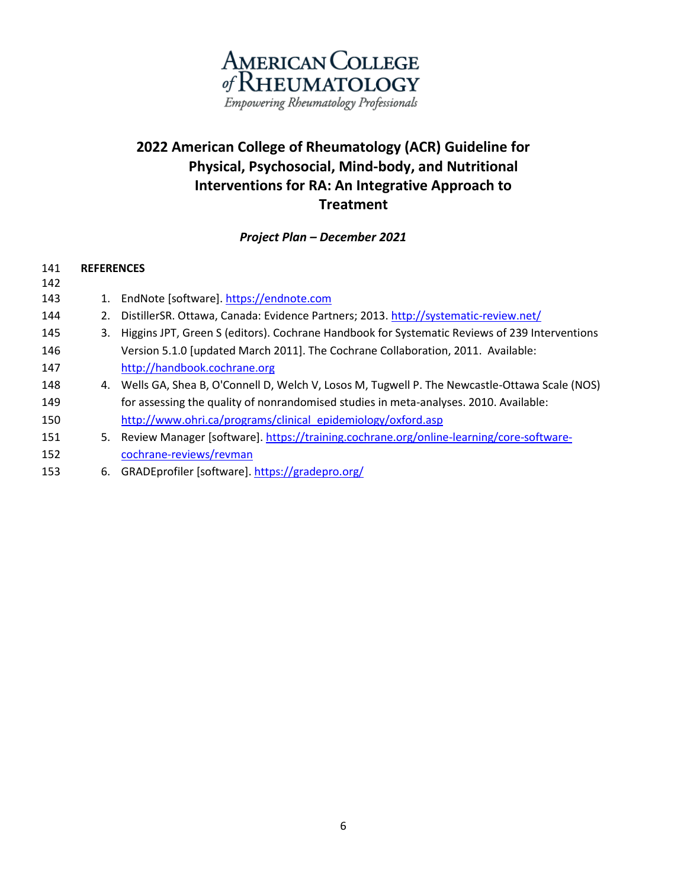

| 141 | <b>REFERENCES</b> |                                                                                               |  |  |  |  |
|-----|-------------------|-----------------------------------------------------------------------------------------------|--|--|--|--|
| 142 |                   |                                                                                               |  |  |  |  |
| 143 | 1.                | EndNote [software]. https://endnote.com                                                       |  |  |  |  |
| 144 | 2.                | DistillerSR. Ottawa, Canada: Evidence Partners; 2013. http://systematic-review.net/           |  |  |  |  |
| 145 | 3.                | Higgins JPT, Green S (editors). Cochrane Handbook for Systematic Reviews of 239 Interventions |  |  |  |  |
| 146 |                   | Version 5.1.0 [updated March 2011]. The Cochrane Collaboration, 2011. Available:              |  |  |  |  |
| 147 |                   | http://handbook.cochrane.org                                                                  |  |  |  |  |
| 148 | 4.                | Wells GA, Shea B, O'Connell D, Welch V, Losos M, Tugwell P. The Newcastle-Ottawa Scale (NOS)  |  |  |  |  |
| 149 |                   | for assessing the quality of nonrandomised studies in meta-analyses. 2010. Available:         |  |  |  |  |
| 150 |                   | http://www.ohri.ca/programs/clinical epidemiology/oxford.asp                                  |  |  |  |  |
| 151 | 5.                | Review Manager [software]. https://training.cochrane.org/online-learning/core-software-       |  |  |  |  |
| 152 |                   | cochrane-reviews/revman                                                                       |  |  |  |  |
| 153 | 6.                | GRADEprofiler [software]. https://gradepro.org/                                               |  |  |  |  |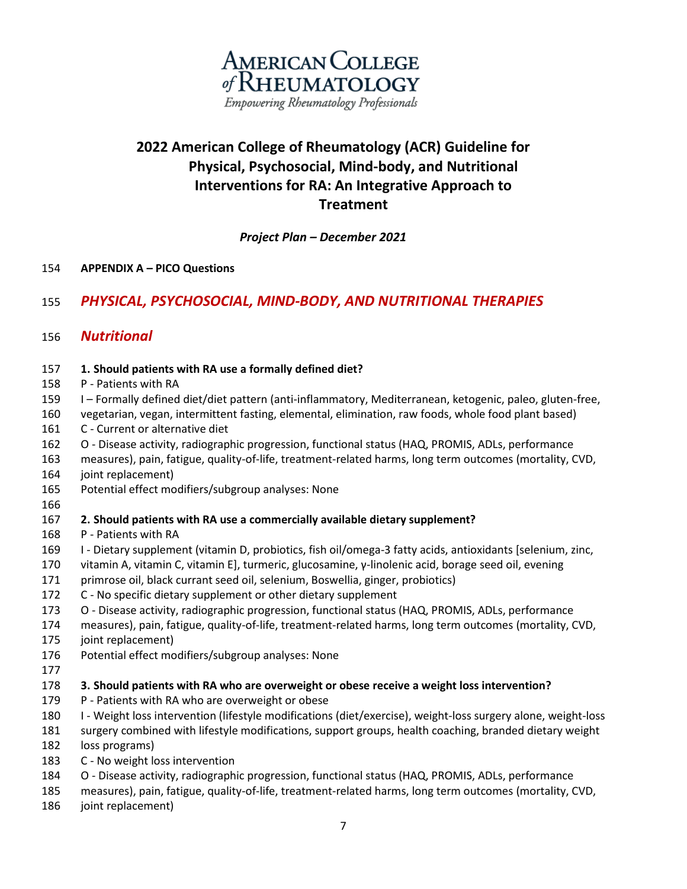

### *Project Plan – December 2021*

#### **APPENDIX A – PICO Questions**

## *PHYSICAL, PSYCHOSOCIAL, MIND-BODY, AND NUTRITIONAL THERAPIES*

### *Nutritional*

#### **1. Should patients with RA use a formally defined diet?**

- P Patients with RA
- I Formally defined diet/diet pattern (anti-inflammatory, Mediterranean, ketogenic, paleo, gluten-free,
- vegetarian, vegan, intermittent fasting, elemental, elimination, raw foods, whole food plant based)
- C Current or alternative diet
- O Disease activity, radiographic progression, functional status (HAQ, PROMIS, ADLs, performance
- measures), pain, fatigue, quality-of-life, treatment-related harms, long term outcomes (mortality, CVD,
- joint replacement)
- Potential effect modifiers/subgroup analyses: None
- 

#### **2. Should patients with RA use a commercially available dietary supplement?**

- P Patients with RA
- I Dietary supplement (vitamin D, probiotics, fish oil/omega-3 fatty acids, antioxidants [selenium, zinc,
- vitamin A, vitamin C, vitamin E], turmeric, glucosamine, γ-linolenic acid, borage seed oil, evening
- primrose oil, black currant seed oil, selenium, Boswellia, ginger, probiotics)
- C No specific dietary supplement or other dietary supplement
- O Disease activity, radiographic progression, functional status (HAQ, PROMIS, ADLs, performance
- measures), pain, fatigue, quality-of-life, treatment-related harms, long term outcomes (mortality, CVD,
- joint replacement)
- Potential effect modifiers/subgroup analyses: None
- 
- **3. Should patients with RA who are overweight or obese receive a weight loss intervention?**
- 179 P Patients with RA who are overweight or obese
- I Weight loss intervention (lifestyle modifications (diet/exercise), weight-loss surgery alone, weight-loss
- surgery combined with lifestyle modifications, support groups, health coaching, branded dietary weight
- loss programs)
- C No weight loss intervention
- O Disease activity, radiographic progression, functional status (HAQ, PROMIS, ADLs, performance
- measures), pain, fatigue, quality-of-life, treatment-related harms, long term outcomes (mortality, CVD,
- joint replacement)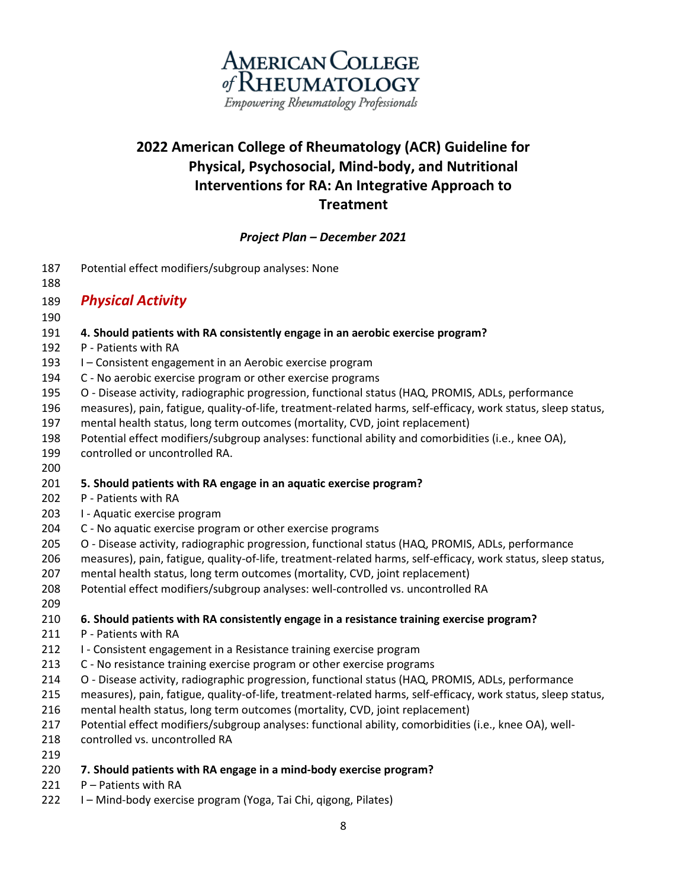

### *Project Plan – December 2021*

| 187<br>188 | Potential effect modifiers/subgroup analyses: None                                                            |
|------------|---------------------------------------------------------------------------------------------------------------|
| 189<br>190 | <b>Physical Activity</b>                                                                                      |
| 191        | 4. Should patients with RA consistently engage in an aerobic exercise program?                                |
| 192        | P - Patients with RA                                                                                          |
| 193        | I-Consistent engagement in an Aerobic exercise program                                                        |
| 194        | C - No aerobic exercise program or other exercise programs                                                    |
| 195        | O - Disease activity, radiographic progression, functional status (HAQ, PROMIS, ADLs, performance             |
| 196        | measures), pain, fatigue, quality-of-life, treatment-related harms, self-efficacy, work status, sleep status, |
| 197        | mental health status, long term outcomes (mortality, CVD, joint replacement)                                  |
| 198        | Potential effect modifiers/subgroup analyses: functional ability and comorbidities (i.e., knee OA),           |
| 199        | controlled or uncontrolled RA.                                                                                |
| 200        |                                                                                                               |
| 201        | 5. Should patients with RA engage in an aquatic exercise program?                                             |
| 202        | P - Patients with RA                                                                                          |
| 203        | I - Aquatic exercise program                                                                                  |
| 204        | C - No aquatic exercise program or other exercise programs                                                    |
| 205        | O - Disease activity, radiographic progression, functional status (HAQ, PROMIS, ADLs, performance             |
| 206        | measures), pain, fatigue, quality-of-life, treatment-related harms, self-efficacy, work status, sleep status, |
| 207        | mental health status, long term outcomes (mortality, CVD, joint replacement)                                  |
| 208        | Potential effect modifiers/subgroup analyses: well-controlled vs. uncontrolled RA                             |
| 209<br>210 | 6. Should patients with RA consistently engage in a resistance training exercise program?                     |
| 211        | P - Patients with RA                                                                                          |
| 212        | I - Consistent engagement in a Resistance training exercise program                                           |
| 213        | C - No resistance training exercise program or other exercise programs                                        |
| 214        | O - Disease activity, radiographic progression, functional status (HAQ, PROMIS, ADLs, performance             |
| 215        | measures), pain, fatigue, quality-of-life, treatment-related harms, self-efficacy, work status, sleep status, |
| 216        | mental health status, long term outcomes (mortality, CVD, joint replacement)                                  |
| 217        | Potential effect modifiers/subgroup analyses: functional ability, comorbidities (i.e., knee OA), well-        |
| 218        | controlled vs. uncontrolled RA                                                                                |
| 219        |                                                                                                               |
| 220        | 7. Should patients with RA engage in a mind-body exercise program?                                            |
| 221        | P - Patients with RA                                                                                          |

I – Mind-body exercise program (Yoga, Tai Chi, qigong, Pilates)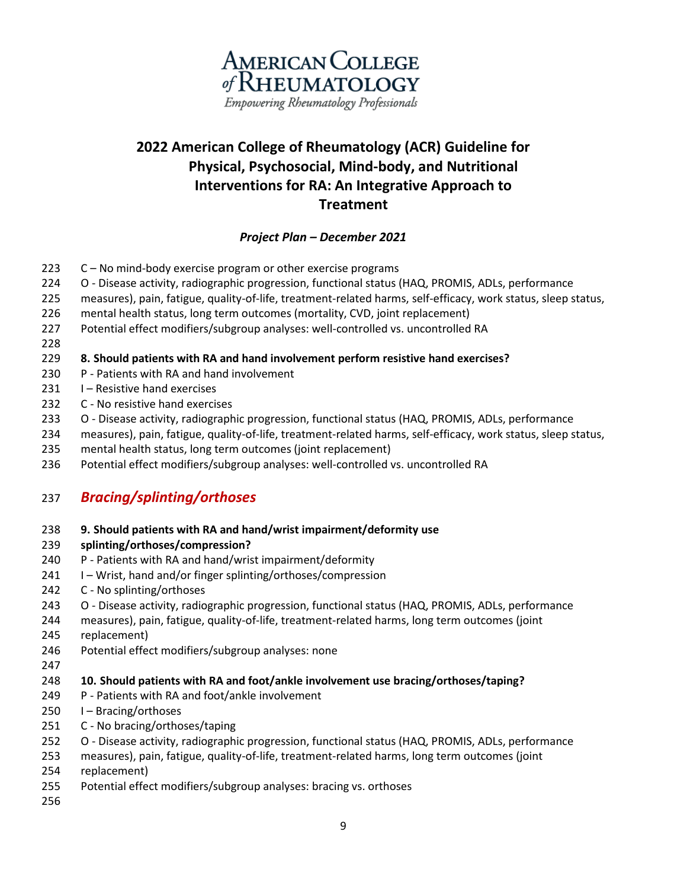

### *Project Plan – December 2021*

- C No mind-body exercise program or other exercise programs
- O Disease activity, radiographic progression, functional status (HAQ, PROMIS, ADLs, performance
- measures), pain, fatigue, quality-of-life, treatment-related harms, self-efficacy, work status, sleep status,
- mental health status, long term outcomes (mortality, CVD, joint replacement)
- Potential effect modifiers/subgroup analyses: well-controlled vs. uncontrolled RA
- 

#### **8. Should patients with RA and hand involvement perform resistive hand exercises?**

- P Patients with RA and hand involvement
- 231 I Resistive hand exercises
- C No resistive hand exercises
- O Disease activity, radiographic progression, functional status (HAQ, PROMIS, ADLs, performance
- measures), pain, fatigue, quality-of-life, treatment-related harms, self-efficacy, work status, sleep status,
- mental health status, long term outcomes (joint replacement)
- Potential effect modifiers/subgroup analyses: well-controlled vs. uncontrolled RA

## *Bracing/splinting/orthoses*

#### **9. Should patients with RA and hand/wrist impairment/deformity use**

#### **splinting/orthoses/compression?**

- P Patients with RA and hand/wrist impairment/deformity
- 241 I Wrist, hand and/or finger splinting/orthoses/compression
- C No splinting/orthoses
- O Disease activity, radiographic progression, functional status (HAQ, PROMIS, ADLs, performance
- measures), pain, fatigue, quality-of-life, treatment-related harms, long term outcomes (joint
- replacement)
- Potential effect modifiers/subgroup analyses: none
- 

### **10. Should patients with RA and foot/ankle involvement use bracing/orthoses/taping?**

- P Patients with RA and foot/ankle involvement
- I Bracing/orthoses
- C No bracing/orthoses/taping
- O Disease activity, radiographic progression, functional status (HAQ, PROMIS, ADLs, performance
- measures), pain, fatigue, quality-of-life, treatment-related harms, long term outcomes (joint
- replacement)
- Potential effect modifiers/subgroup analyses: bracing vs. orthoses
-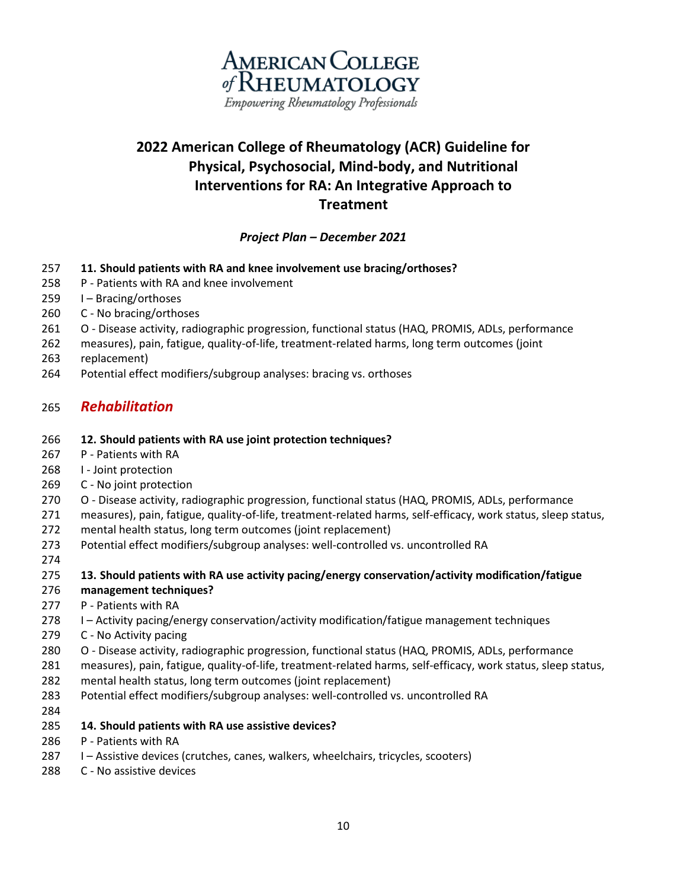

### *Project Plan – December 2021*

- **11. Should patients with RA and knee involvement use bracing/orthoses?**
- P Patients with RA and knee involvement
- 259 I Bracing/orthoses
- C No bracing/orthoses
- O Disease activity, radiographic progression, functional status (HAQ, PROMIS, ADLs, performance
- measures), pain, fatigue, quality-of-life, treatment-related harms, long term outcomes (joint
- replacement)
- Potential effect modifiers/subgroup analyses: bracing vs. orthoses

### *Rehabilitation*

#### **12. Should patients with RA use joint protection techniques?**

- P Patients with RA
- I Joint protection
- C No joint protection
- O Disease activity, radiographic progression, functional status (HAQ, PROMIS, ADLs, performance
- measures), pain, fatigue, quality-of-life, treatment-related harms, self-efficacy, work status, sleep status,
- mental health status, long term outcomes (joint replacement)
- Potential effect modifiers/subgroup analyses: well-controlled vs. uncontrolled RA
- 
- **13. Should patients with RA use activity pacing/energy conservation/activity modification/fatigue management techniques?**
- P Patients with RA
- I Activity pacing/energy conservation/activity modification/fatigue management techniques
- C No Activity pacing
- O Disease activity, radiographic progression, functional status (HAQ, PROMIS, ADLs, performance
- measures), pain, fatigue, quality-of-life, treatment-related harms, self-efficacy, work status, sleep status,
- mental health status, long term outcomes (joint replacement)
- Potential effect modifiers/subgroup analyses: well-controlled vs. uncontrolled RA
- 
- **14. Should patients with RA use assistive devices?**
- P Patients with RA
- I Assistive devices (crutches, canes, walkers, wheelchairs, tricycles, scooters)
- C No assistive devices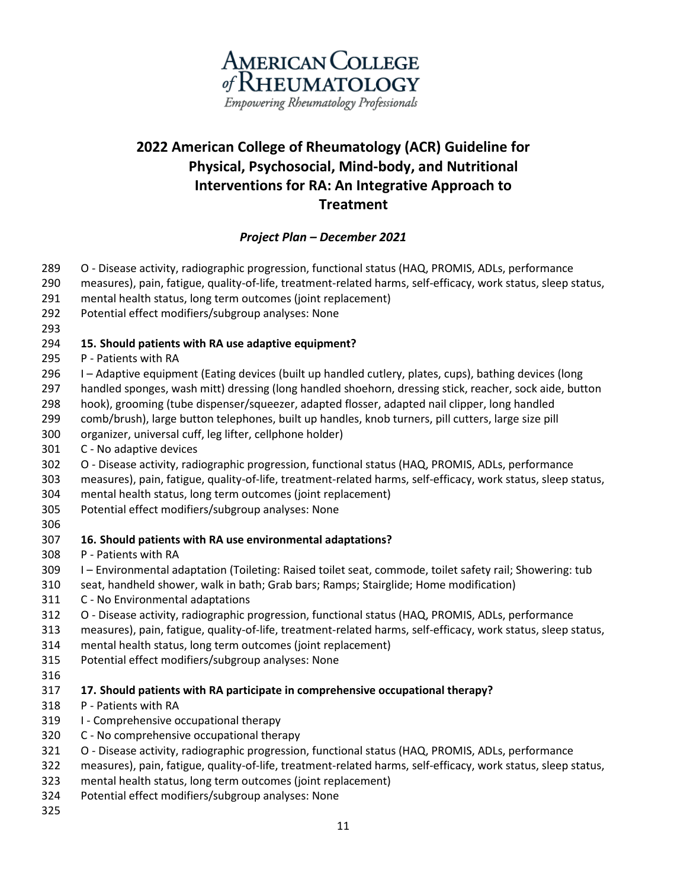

### *Project Plan – December 2021*

- O Disease activity, radiographic progression, functional status (HAQ, PROMIS, ADLs, performance
- measures), pain, fatigue, quality-of-life, treatment-related harms, self-efficacy, work status, sleep status,
- mental health status, long term outcomes (joint replacement)
- Potential effect modifiers/subgroup analyses: None
- 

### **15. Should patients with RA use adaptive equipment?**

- P Patients with RA
- I Adaptive equipment (Eating devices (built up handled cutlery, plates, cups), bathing devices (long
- handled sponges, wash mitt) dressing (long handled shoehorn, dressing stick, reacher, sock aide, button
- hook), grooming (tube dispenser/squeezer, adapted flosser, adapted nail clipper, long handled
- comb/brush), large button telephones, built up handles, knob turners, pill cutters, large size pill
- organizer, universal cuff, leg lifter, cellphone holder)
- C No adaptive devices
- O Disease activity, radiographic progression, functional status (HAQ, PROMIS, ADLs, performance
- measures), pain, fatigue, quality-of-life, treatment-related harms, self-efficacy, work status, sleep status,
- mental health status, long term outcomes (joint replacement)
- Potential effect modifiers/subgroup analyses: None
- 

### **16. Should patients with RA use environmental adaptations?**

- P Patients with RA
- I Environmental adaptation (Toileting: Raised toilet seat, commode, toilet safety rail; Showering: tub
- seat, handheld shower, walk in bath; Grab bars; Ramps; Stairglide; Home modification)
- C No Environmental adaptations
- O Disease activity, radiographic progression, functional status (HAQ, PROMIS, ADLs, performance
- measures), pain, fatigue, quality-of-life, treatment-related harms, self-efficacy, work status, sleep status,
- mental health status, long term outcomes (joint replacement)
- Potential effect modifiers/subgroup analyses: None
- 
- **17. Should patients with RA participate in comprehensive occupational therapy?**
- P Patients with RA
- I Comprehensive occupational therapy
- C No comprehensive occupational therapy
- O Disease activity, radiographic progression, functional status (HAQ, PROMIS, ADLs, performance
- measures), pain, fatigue, quality-of-life, treatment-related harms, self-efficacy, work status, sleep status,
- mental health status, long term outcomes (joint replacement)
- Potential effect modifiers/subgroup analyses: None
-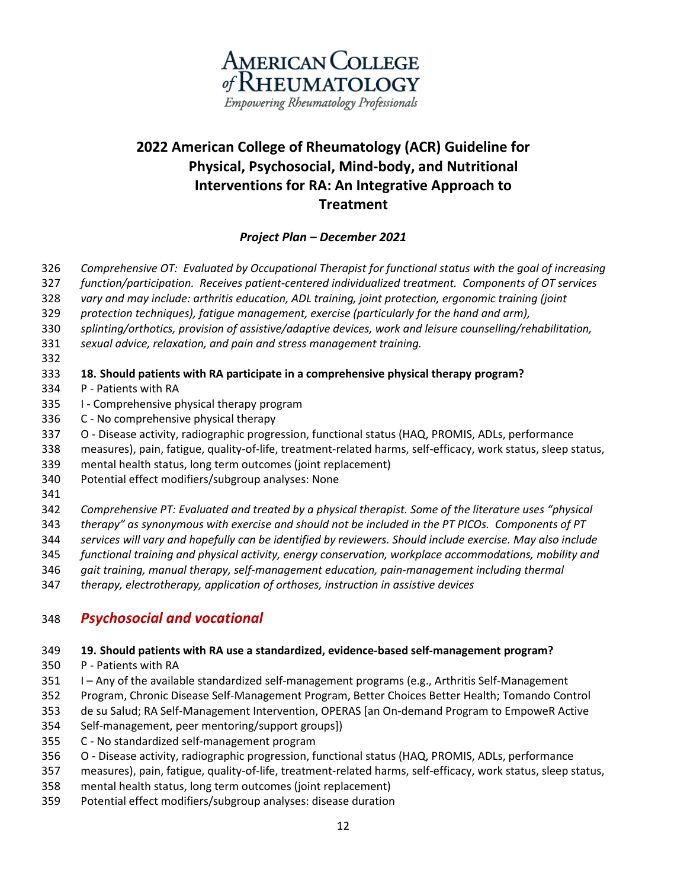

### *Project Plan – December 2021*

- *Comprehensive OT: Evaluated by Occupational Therapist for functional status with the goal of increasing*
- *function/participation. Receives patient-centered individualized treatment. Components of OT services*
- *vary and may include: arthritis education, ADL training, joint protection, ergonomic training (joint*
- *protection techniques), fatigue management, exercise (particularly for the hand and arm),*
- *splinting/orthotics, provision of assistive/adaptive devices, work and leisure counselling/rehabilitation,*
- *sexual advice, relaxation, and pain and stress management training.*
- 
- **18. Should patients with RA participate in a comprehensive physical therapy program?**
- P Patients with RA
- I Comprehensive physical therapy program
- C No comprehensive physical therapy
- O Disease activity, radiographic progression, functional status (HAQ, PROMIS, ADLs, performance
- measures), pain, fatigue, quality-of-life, treatment-related harms, self-efficacy, work status, sleep status,
- mental health status, long term outcomes (joint replacement)
- Potential effect modifiers/subgroup analyses: None
- 

*Comprehensive PT: Evaluated and treated by a physical therapist. Some of the literature uses "physical* 

- *therapy" as synonymous with exercise and should not be included in the PT PICOs. Components of PT*
- *services will vary and hopefully can be identified by reviewers. Should include exercise. May also include*
- *functional training and physical activity, energy conservation, workplace accommodations, mobility and*
- *gait training, manual therapy, self-management education, pain-management including thermal*
- *therapy, electrotherapy, application of orthoses, instruction in assistive devices*

### *Psychosocial and vocational*

#### **19. Should patients with RA use a standardized, evidence-based self-management program?**

- P Patients with RA
- I Any of the available standardized self-management programs (e.g., Arthritis Self-Management
- Program, Chronic Disease Self-Management Program, Better Choices Better Health; Tomando Control
- de su Salud; RA Self-Management Intervention, OPERAS [an On-demand Program to EmpoweR Active
- Self-management, peer mentoring/support groups])
- C No standardized self-management program
- O Disease activity, radiographic progression, functional status (HAQ, PROMIS, ADLs, performance
- measures), pain, fatigue, quality-of-life, treatment-related harms, self-efficacy, work status, sleep status,
- mental health status, long term outcomes (joint replacement)
- Potential effect modifiers/subgroup analyses: disease duration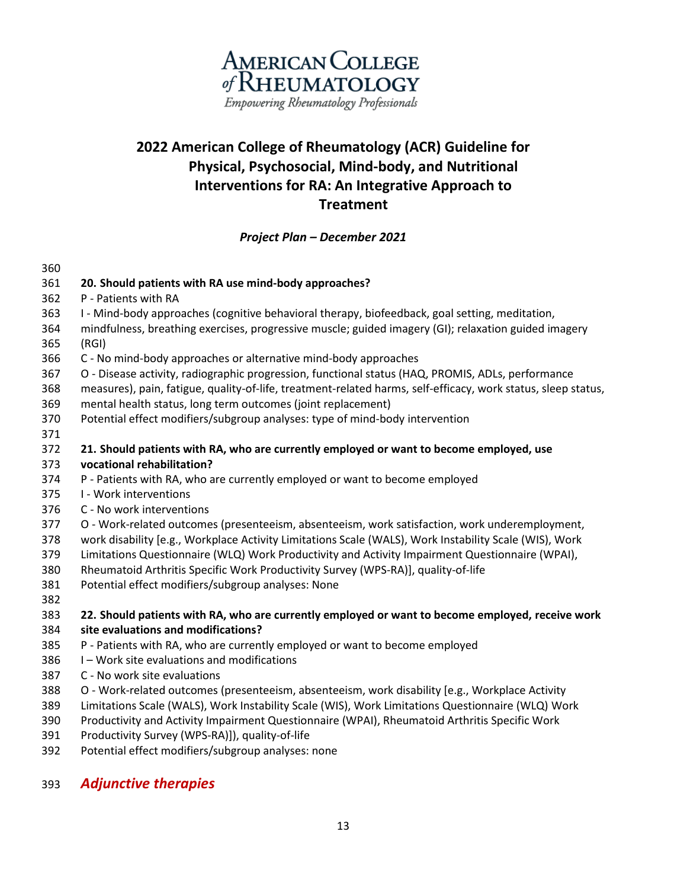

### *Project Plan – December 2021*

| 20. Should patients with RA use mind-body approaches?                                                         |
|---------------------------------------------------------------------------------------------------------------|
| P - Patients with RA                                                                                          |
| I - Mind-body approaches (cognitive behavioral therapy, biofeedback, goal setting, meditation,                |
| mindfulness, breathing exercises, progressive muscle; guided imagery (GI); relaxation guided imagery          |
| (RGI)                                                                                                         |
| C - No mind-body approaches or alternative mind-body approaches                                               |
| O - Disease activity, radiographic progression, functional status (HAQ, PROMIS, ADLs, performance             |
| measures), pain, fatigue, quality-of-life, treatment-related harms, self-efficacy, work status, sleep status, |
| mental health status, long term outcomes (joint replacement)                                                  |
| Potential effect modifiers/subgroup analyses: type of mind-body intervention                                  |
|                                                                                                               |
| 21. Should patients with RA, who are currently employed or want to become employed, use                       |
| vocational rehabilitation?                                                                                    |
| P - Patients with RA, who are currently employed or want to become employed                                   |
| <b>1</b> - Work interventions                                                                                 |
| C - No work interventions                                                                                     |
| O - Work-related outcomes (presenteeism, absenteeism, work satisfaction, work underemployment,                |
| work disability [e.g., Workplace Activity Limitations Scale (WALS), Work Instability Scale (WIS), Work        |
| Limitations Questionnaire (WLQ) Work Productivity and Activity Impairment Questionnaire (WPAI),               |
|                                                                                                               |

- Rheumatoid Arthritis Specific Work Productivity Survey (WPS-RA)], quality-of-life
- Potential effect modifiers/subgroup analyses: None
- 

#### **22. Should patients with RA, who are currently employed or want to become employed, receive work site evaluations and modifications?**

- P Patients with RA, who are currently employed or want to become employed
- I Work site evaluations and modifications
- C No work site evaluations
- O Work-related outcomes (presenteeism, absenteeism, work disability [e.g., Workplace Activity
- Limitations Scale (WALS), Work Instability Scale (WIS), Work Limitations Questionnaire (WLQ) Work
- Productivity and Activity Impairment Questionnaire (WPAI), Rheumatoid Arthritis Specific Work
- Productivity Survey (WPS-RA)]), quality-of-life
- Potential effect modifiers/subgroup analyses: none

### *Adjunctive therapies*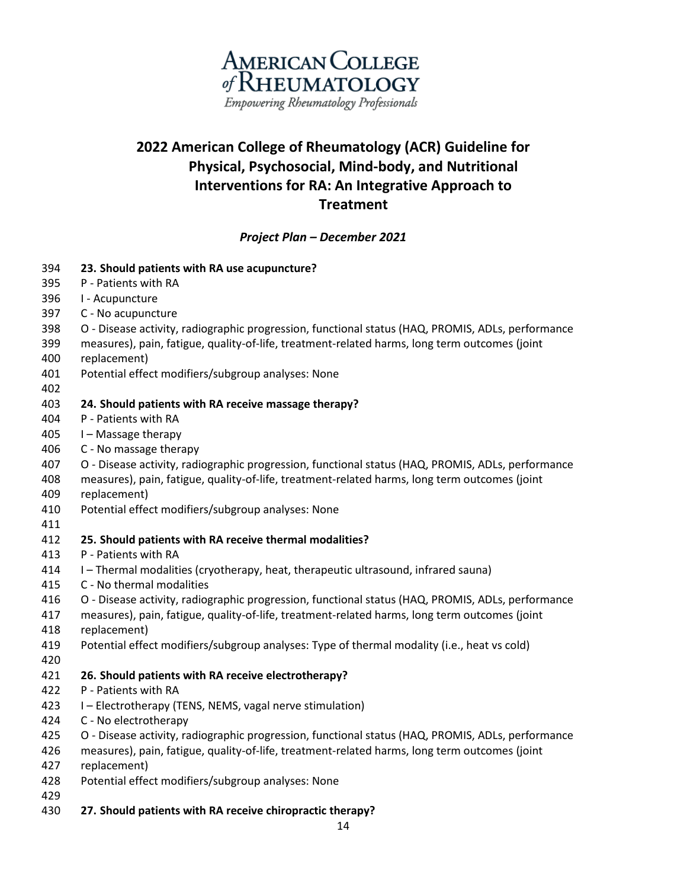

### *Project Plan – December 2021*

- **23. Should patients with RA use acupuncture?**
- P Patients with RA
- I Acupuncture
- C No acupuncture
- O Disease activity, radiographic progression, functional status (HAQ, PROMIS, ADLs, performance
- measures), pain, fatigue, quality-of-life, treatment-related harms, long term outcomes (joint
- replacement)
- Potential effect modifiers/subgroup analyses: None
- 

#### **24. Should patients with RA receive massage therapy?**

- P Patients with RA
- I Massage therapy
- C No massage therapy
- O Disease activity, radiographic progression, functional status (HAQ, PROMIS, ADLs, performance
- measures), pain, fatigue, quality-of-life, treatment-related harms, long term outcomes (joint
- replacement)
- Potential effect modifiers/subgroup analyses: None
- 
- **25. Should patients with RA receive thermal modalities?**
- P Patients with RA
- I Thermal modalities (cryotherapy, heat, therapeutic ultrasound, infrared sauna)
- C No thermal modalities
- O Disease activity, radiographic progression, functional status (HAQ, PROMIS, ADLs, performance
- measures), pain, fatigue, quality-of-life, treatment-related harms, long term outcomes (joint
- replacement)
- Potential effect modifiers/subgroup analyses: Type of thermal modality (i.e., heat vs cold)
- 

#### **26. Should patients with RA receive electrotherapy?**

- P Patients with RA
- I Electrotherapy (TENS, NEMS, vagal nerve stimulation)
- C No electrotherapy
- O Disease activity, radiographic progression, functional status (HAQ, PROMIS, ADLs, performance
- measures), pain, fatigue, quality-of-life, treatment-related harms, long term outcomes (joint
- replacement)
- Potential effect modifiers/subgroup analyses: None
- 
- **27. Should patients with RA receive chiropractic therapy?**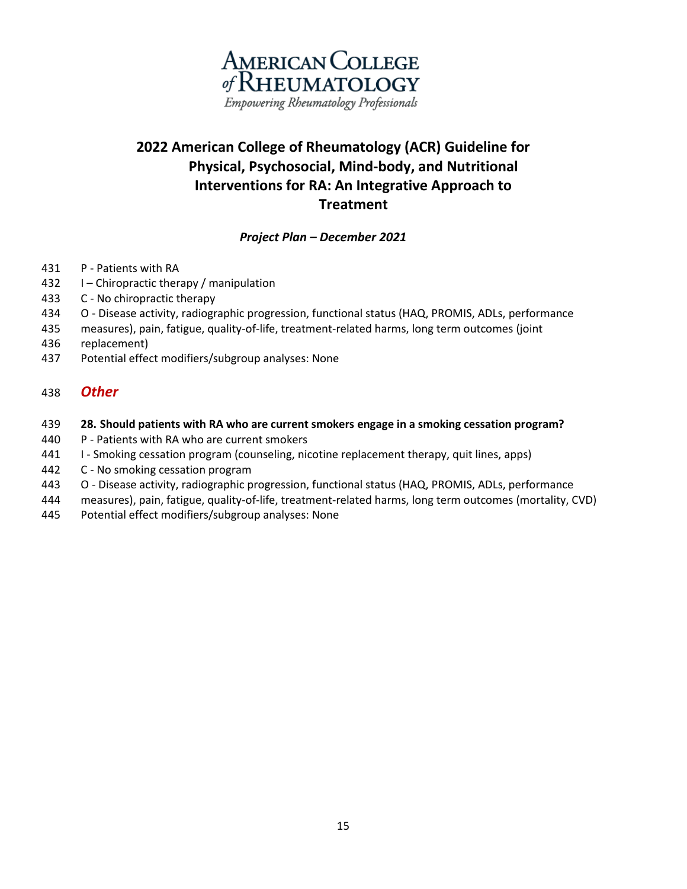

### *Project Plan – December 2021*

- P Patients with RA
- I Chiropractic therapy / manipulation
- C No chiropractic therapy
- O Disease activity, radiographic progression, functional status (HAQ, PROMIS, ADLs, performance
- measures), pain, fatigue, quality-of-life, treatment-related harms, long term outcomes (joint
- replacement)
- Potential effect modifiers/subgroup analyses: None

### *Other*

- **28. Should patients with RA who are current smokers engage in a smoking cessation program?**
- P Patients with RA who are current smokers
- I Smoking cessation program (counseling, nicotine replacement therapy, quit lines, apps)
- C No smoking cessation program
- O Disease activity, radiographic progression, functional status (HAQ, PROMIS, ADLs, performance
- measures), pain, fatigue, quality-of-life, treatment-related harms, long term outcomes (mortality, CVD)
- Potential effect modifiers/subgroup analyses: None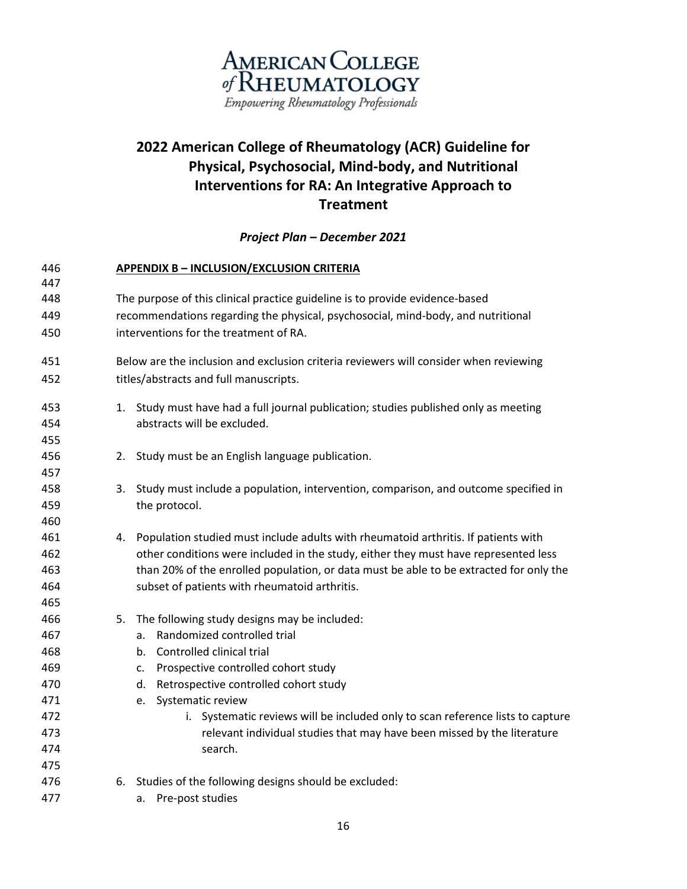

| 446 |                                                                                       | <b>APPENDIX B - INCLUSION/EXCLUSION CRITERIA</b>                                       |  |  |  |  |  |  |  |
|-----|---------------------------------------------------------------------------------------|----------------------------------------------------------------------------------------|--|--|--|--|--|--|--|
| 447 |                                                                                       |                                                                                        |  |  |  |  |  |  |  |
| 448 |                                                                                       | The purpose of this clinical practice guideline is to provide evidence-based           |  |  |  |  |  |  |  |
| 449 |                                                                                       | recommendations regarding the physical, psychosocial, mind-body, and nutritional       |  |  |  |  |  |  |  |
| 450 | interventions for the treatment of RA.                                                |                                                                                        |  |  |  |  |  |  |  |
| 451 | Below are the inclusion and exclusion criteria reviewers will consider when reviewing |                                                                                        |  |  |  |  |  |  |  |
| 452 | titles/abstracts and full manuscripts.                                                |                                                                                        |  |  |  |  |  |  |  |
| 453 |                                                                                       | 1. Study must have had a full journal publication; studies published only as meeting   |  |  |  |  |  |  |  |
| 454 |                                                                                       | abstracts will be excluded.                                                            |  |  |  |  |  |  |  |
| 455 |                                                                                       |                                                                                        |  |  |  |  |  |  |  |
| 456 |                                                                                       | 2. Study must be an English language publication.                                      |  |  |  |  |  |  |  |
| 457 |                                                                                       |                                                                                        |  |  |  |  |  |  |  |
| 458 |                                                                                       | 3. Study must include a population, intervention, comparison, and outcome specified in |  |  |  |  |  |  |  |
| 459 |                                                                                       | the protocol.                                                                          |  |  |  |  |  |  |  |
| 460 |                                                                                       |                                                                                        |  |  |  |  |  |  |  |
| 461 |                                                                                       | 4. Population studied must include adults with rheumatoid arthritis. If patients with  |  |  |  |  |  |  |  |
| 462 |                                                                                       | other conditions were included in the study, either they must have represented less    |  |  |  |  |  |  |  |
| 463 |                                                                                       | than 20% of the enrolled population, or data must be able to be extracted for only the |  |  |  |  |  |  |  |
| 464 |                                                                                       | subset of patients with rheumatoid arthritis.                                          |  |  |  |  |  |  |  |
| 465 |                                                                                       |                                                                                        |  |  |  |  |  |  |  |
| 466 |                                                                                       | 5. The following study designs may be included:                                        |  |  |  |  |  |  |  |
| 467 |                                                                                       | Randomized controlled trial<br>a.                                                      |  |  |  |  |  |  |  |
| 468 |                                                                                       | Controlled clinical trial<br>b.                                                        |  |  |  |  |  |  |  |
| 469 |                                                                                       | Prospective controlled cohort study<br>c.                                              |  |  |  |  |  |  |  |
| 470 |                                                                                       | Retrospective controlled cohort study<br>d.                                            |  |  |  |  |  |  |  |
| 471 |                                                                                       | e. Systematic review                                                                   |  |  |  |  |  |  |  |
| 472 |                                                                                       | i. Systematic reviews will be included only to scan reference lists to capture         |  |  |  |  |  |  |  |
| 473 |                                                                                       | relevant individual studies that may have been missed by the literature                |  |  |  |  |  |  |  |
| 474 |                                                                                       | search.                                                                                |  |  |  |  |  |  |  |
| 475 |                                                                                       |                                                                                        |  |  |  |  |  |  |  |
| 476 |                                                                                       | 6. Studies of the following designs should be excluded:                                |  |  |  |  |  |  |  |
| 477 |                                                                                       | a. Pre-post studies                                                                    |  |  |  |  |  |  |  |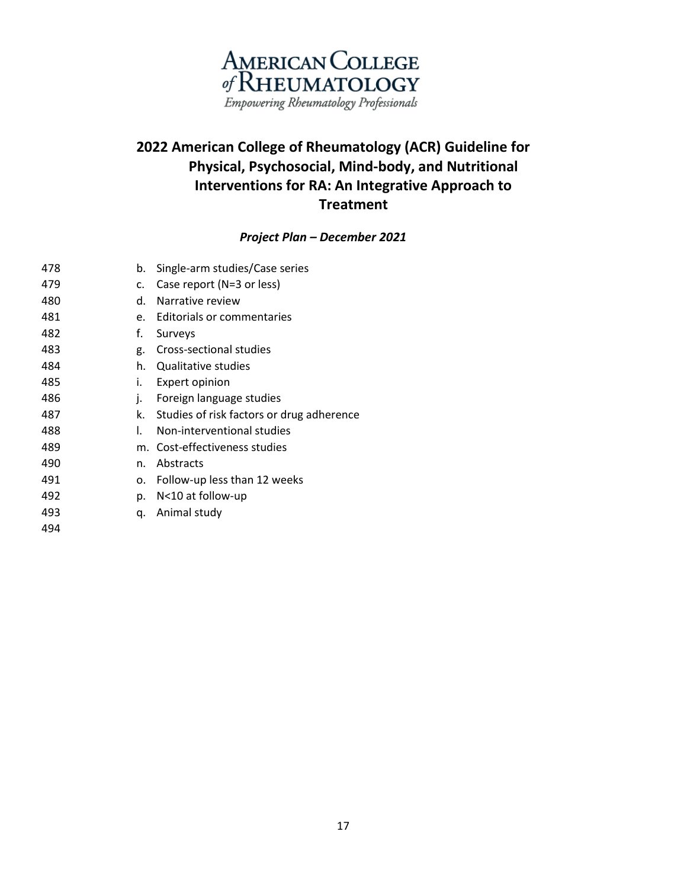

| 478 | b. | Single-arm studies/Case series            |
|-----|----|-------------------------------------------|
| 479 | c. | Case report (N=3 or less)                 |
| 480 | d. | Narrative review                          |
| 481 | e. | Editorials or commentaries                |
| 482 | f. | Surveys                                   |
| 483 | g. | Cross-sectional studies                   |
| 484 | h. | Qualitative studies                       |
| 485 | i. | Expert opinion                            |
| 486 | i. | Foreign language studies                  |
| 487 | k. | Studies of risk factors or drug adherence |
| 488 | L. | Non-interventional studies                |
| 489 | m. | Cost-effectiveness studies                |
| 490 | n. | Abstracts                                 |
| 491 | о. | Follow-up less than 12 weeks              |
| 492 | p. | N<10 at follow-up                         |
| 493 | q. | Animal study                              |
| 494 |    |                                           |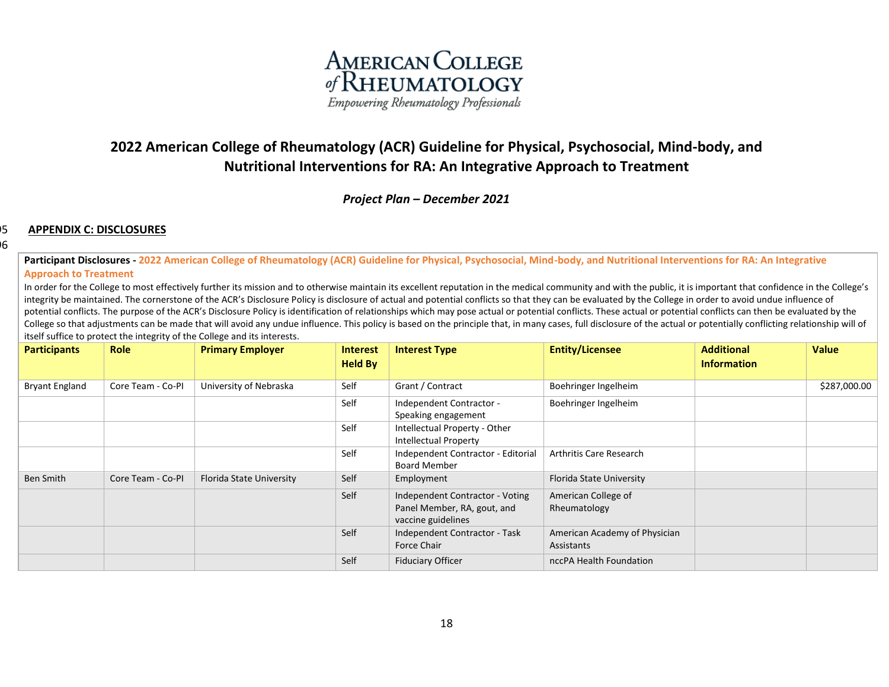

*Project Plan – December 2021*

#### 495 **APPENDIX C: DISCLOSURES**

16

**Participant Disclosures - 2022 American College of Rheumatology (ACR) Guideline for Physical, Psychosocial, Mind-body, and Nutritional Interventions for RA: An Integrative Approach to Treatment**

In order for the College to most effectively further its mission and to otherwise maintain its excellent reputation in the medical community and with the public, it is important that confidence in the College's integrity be maintained. The cornerstone of the ACR's Disclosure Policy is disclosure of actual and potential conflicts so that they can be evaluated by the College in order to avoid undue influence of potential conflicts. The purpose of the ACR's Disclosure Policy is identification of relationships which may pose actual or potential conflicts. These actual or potential conflicts can then be evaluated by the College so that adjustments can be made that will avoid any undue influence. This policy is based on the principle that, in many cases, full disclosure of the actual or potentially conflicting relationship will of itself suffice to protect the integrity of the College and its interests.

| <b>Participants</b>   | <b>Role</b>       | <b>Primary Employer</b>  | <b>Interest</b> | <b>Interest Type</b>                                                                 | <b>Entity/Licensee</b>                      | <b>Additional</b>  | <b>Value</b> |
|-----------------------|-------------------|--------------------------|-----------------|--------------------------------------------------------------------------------------|---------------------------------------------|--------------------|--------------|
|                       |                   |                          | <b>Held By</b>  |                                                                                      |                                             | <b>Information</b> |              |
| <b>Bryant England</b> | Core Team - Co-PI | University of Nebraska   | Self            | Grant / Contract                                                                     | Boehringer Ingelheim                        |                    | \$287,000.00 |
|                       |                   |                          | Self            | Independent Contractor -<br>Speaking engagement                                      | Boehringer Ingelheim                        |                    |              |
|                       |                   |                          | Self            | Intellectual Property - Other<br><b>Intellectual Property</b>                        |                                             |                    |              |
|                       |                   |                          | Self            | Independent Contractor - Editorial<br><b>Board Member</b>                            | <b>Arthritis Care Research</b>              |                    |              |
| Ben Smith             | Core Team - Co-PI | Florida State University | Self            | Employment                                                                           | Florida State University                    |                    |              |
|                       |                   |                          | Self            | Independent Contractor - Voting<br>Panel Member, RA, gout, and<br>vaccine guidelines | American College of<br>Rheumatology         |                    |              |
|                       |                   |                          | Self            | Independent Contractor - Task<br>Force Chair                                         | American Academy of Physician<br>Assistants |                    |              |
|                       |                   |                          | Self            | <b>Fiduciary Officer</b>                                                             | nccPA Health Foundation                     |                    |              |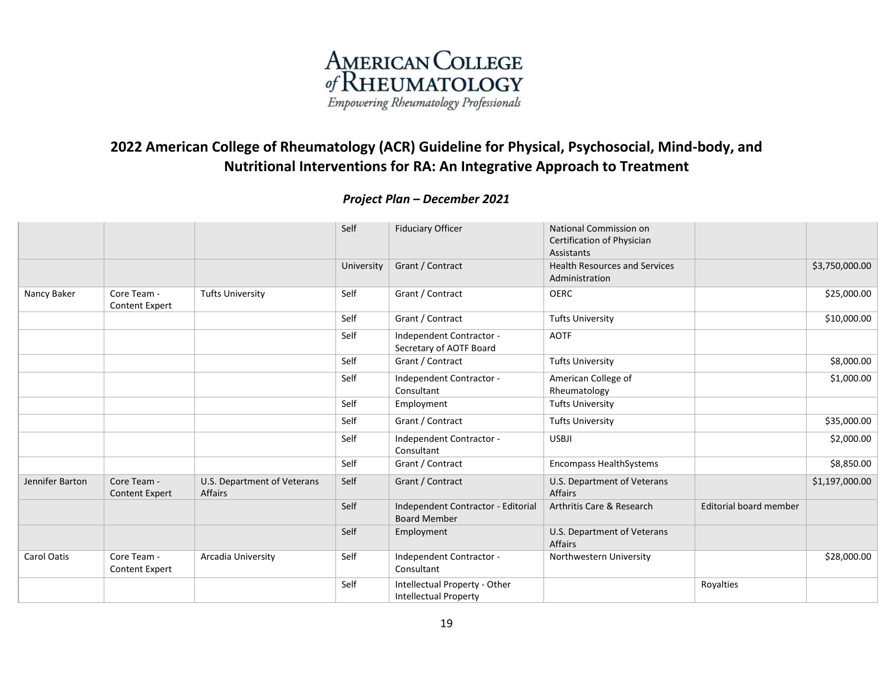

|                    |                                      |                                        | Self       | <b>Fiduciary Officer</b>                                      | <b>National Commission on</b><br>Certification of Physician<br>Assistants |                        |                |
|--------------------|--------------------------------------|----------------------------------------|------------|---------------------------------------------------------------|---------------------------------------------------------------------------|------------------------|----------------|
|                    |                                      |                                        | University | Grant / Contract                                              | <b>Health Resources and Services</b><br>Administration                    |                        | \$3,750,000.00 |
| Nancy Baker        | Core Team -<br>Content Expert        | <b>Tufts University</b>                | Self       | Grant / Contract                                              | <b>OERC</b>                                                               |                        | \$25,000.00    |
|                    |                                      |                                        | Self       | Grant / Contract                                              | <b>Tufts University</b>                                                   |                        | \$10,000.00    |
|                    |                                      |                                        | Self       | Independent Contractor -<br>Secretary of AOTF Board           | <b>AOTF</b>                                                               |                        |                |
|                    |                                      |                                        | Self       | Grant / Contract                                              | <b>Tufts University</b>                                                   |                        | \$8,000.00     |
|                    |                                      |                                        | Self       | Independent Contractor -<br>Consultant                        | American College of<br>Rheumatology                                       |                        | \$1,000.00     |
|                    |                                      |                                        | Self       | Employment                                                    | <b>Tufts University</b>                                                   |                        |                |
|                    |                                      |                                        | Self       | Grant / Contract                                              | <b>Tufts University</b>                                                   |                        | \$35,000.00    |
|                    |                                      |                                        | Self       | Independent Contractor -<br>Consultant                        | <b>USBJI</b>                                                              |                        | \$2,000.00     |
|                    |                                      |                                        | Self       | Grant / Contract                                              | <b>Encompass HealthSystems</b>                                            |                        | \$8,850.00     |
| Jennifer Barton    | Core Team -<br><b>Content Expert</b> | U.S. Department of Veterans<br>Affairs | Self       | Grant / Contract                                              | U.S. Department of Veterans<br><b>Affairs</b>                             |                        | \$1,197,000.00 |
|                    |                                      |                                        | Self       | Independent Contractor - Editorial<br><b>Board Member</b>     | Arthritis Care & Research                                                 | Editorial board member |                |
|                    |                                      |                                        | Self       | Employment                                                    | U.S. Department of Veterans<br><b>Affairs</b>                             |                        |                |
| <b>Carol Oatis</b> | Core Team -<br>Content Expert        | Arcadia University                     | Self       | Independent Contractor -<br>Consultant                        | Northwestern University                                                   |                        | \$28,000.00    |
|                    |                                      |                                        | Self       | Intellectual Property - Other<br><b>Intellectual Property</b> |                                                                           | Royalties              |                |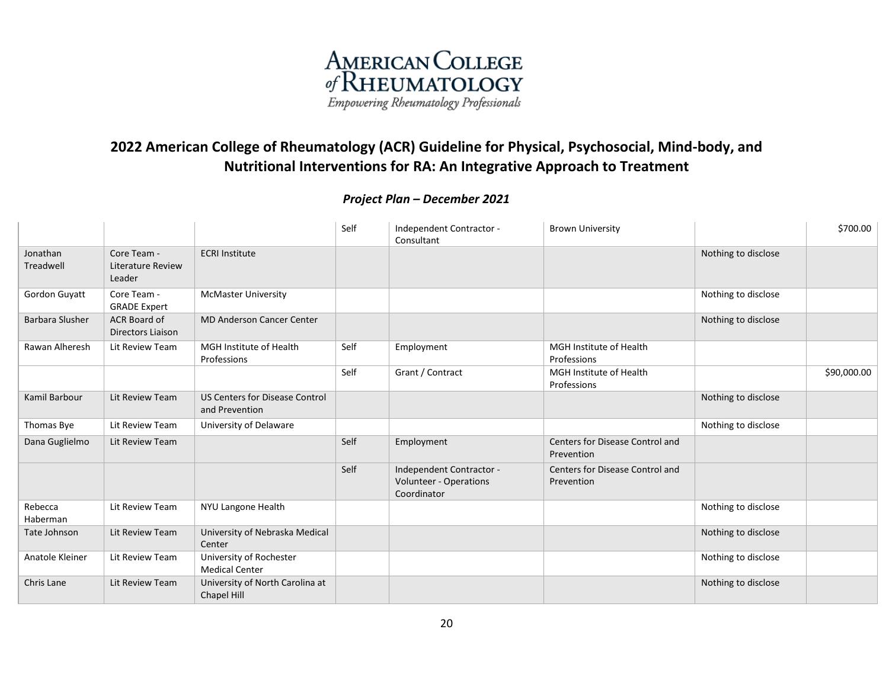

|                        |                                                   |                                                  | Self | Independent Contractor -<br>Consultant                                   | <b>Brown University</b>                       |                     | \$700.00    |
|------------------------|---------------------------------------------------|--------------------------------------------------|------|--------------------------------------------------------------------------|-----------------------------------------------|---------------------|-------------|
| Jonathan<br>Treadwell  | Core Team -<br><b>Literature Review</b><br>Leader | <b>ECRI Institute</b>                            |      |                                                                          |                                               | Nothing to disclose |             |
| Gordon Guyatt          | Core Team -<br><b>GRADE Expert</b>                | <b>McMaster University</b>                       |      |                                                                          |                                               | Nothing to disclose |             |
| <b>Barbara Slusher</b> | ACR Board of<br>Directors Liaison                 | <b>MD Anderson Cancer Center</b>                 |      |                                                                          |                                               | Nothing to disclose |             |
| Rawan Alheresh         | Lit Review Team                                   | MGH Institute of Health<br>Professions           | Self | Employment                                                               | MGH Institute of Health<br>Professions        |                     |             |
|                        |                                                   |                                                  | Self | Grant / Contract                                                         | MGH Institute of Health<br>Professions        |                     | \$90,000.00 |
| Kamil Barbour          | Lit Review Team                                   | US Centers for Disease Control<br>and Prevention |      |                                                                          |                                               | Nothing to disclose |             |
| Thomas Bye             | Lit Review Team                                   | University of Delaware                           |      |                                                                          |                                               | Nothing to disclose |             |
| Dana Guglielmo         | Lit Review Team                                   |                                                  | Self | Employment                                                               | Centers for Disease Control and<br>Prevention |                     |             |
|                        |                                                   |                                                  | Self | Independent Contractor -<br><b>Volunteer - Operations</b><br>Coordinator | Centers for Disease Control and<br>Prevention |                     |             |
| Rebecca<br>Haberman    | Lit Review Team                                   | NYU Langone Health                               |      |                                                                          |                                               | Nothing to disclose |             |
| Tate Johnson           | Lit Review Team                                   | University of Nebraska Medical<br>Center         |      |                                                                          |                                               | Nothing to disclose |             |
| Anatole Kleiner        | Lit Review Team                                   | University of Rochester<br><b>Medical Center</b> |      |                                                                          |                                               | Nothing to disclose |             |
| Chris Lane             | Lit Review Team                                   | University of North Carolina at<br>Chapel Hill   |      |                                                                          |                                               | Nothing to disclose |             |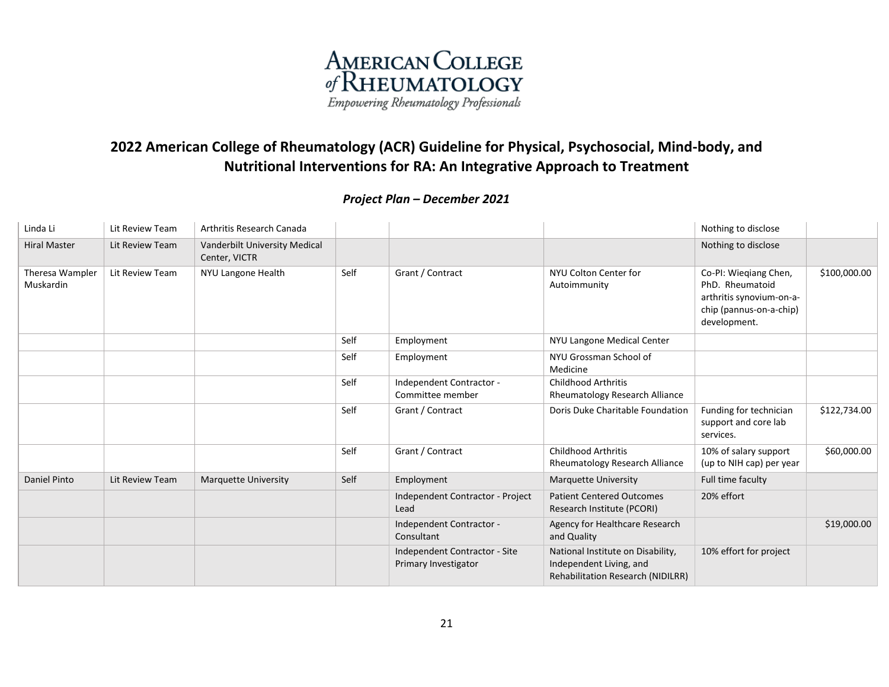

| Linda Li                     | Lit Review Team | Arthritis Research Canada                      |      |                                                       |                                                                                                   | Nothing to disclose                                                                                             |              |
|------------------------------|-----------------|------------------------------------------------|------|-------------------------------------------------------|---------------------------------------------------------------------------------------------------|-----------------------------------------------------------------------------------------------------------------|--------------|
| <b>Hiral Master</b>          | Lit Review Team | Vanderbilt University Medical<br>Center, VICTR |      |                                                       |                                                                                                   | Nothing to disclose                                                                                             |              |
| Theresa Wampler<br>Muskardin | Lit Review Team | NYU Langone Health                             | Self | Grant / Contract                                      | NYU Colton Center for<br>Autoimmunity                                                             | Co-PI: Wiegiang Chen,<br>PhD. Rheumatoid<br>arthritis synovium-on-a-<br>chip (pannus-on-a-chip)<br>development. | \$100,000.00 |
|                              |                 |                                                | Self | Employment                                            | NYU Langone Medical Center                                                                        |                                                                                                                 |              |
|                              |                 |                                                | Self | Employment                                            | NYU Grossman School of<br>Medicine                                                                |                                                                                                                 |              |
|                              |                 |                                                | Self | Independent Contractor -<br>Committee member          | <b>Childhood Arthritis</b><br>Rheumatology Research Alliance                                      |                                                                                                                 |              |
|                              |                 |                                                | Self | Grant / Contract                                      | Doris Duke Charitable Foundation                                                                  | Funding for technician<br>support and core lab<br>services.                                                     | \$122,734.00 |
|                              |                 |                                                | Self | Grant / Contract                                      | <b>Childhood Arthritis</b><br>Rheumatology Research Alliance                                      | 10% of salary support<br>(up to NIH cap) per year                                                               | \$60,000.00  |
| Daniel Pinto                 | Lit Review Team | <b>Marquette University</b>                    | Self | Employment                                            | <b>Marquette University</b>                                                                       | Full time faculty                                                                                               |              |
|                              |                 |                                                |      | Independent Contractor - Project<br>Lead              | <b>Patient Centered Outcomes</b><br>Research Institute (PCORI)                                    | 20% effort                                                                                                      |              |
|                              |                 |                                                |      | Independent Contractor -<br>Consultant                | Agency for Healthcare Research<br>and Quality                                                     |                                                                                                                 | \$19,000.00  |
|                              |                 |                                                |      | Independent Contractor - Site<br>Primary Investigator | National Institute on Disability,<br>Independent Living, and<br>Rehabilitation Research (NIDILRR) | 10% effort for project                                                                                          |              |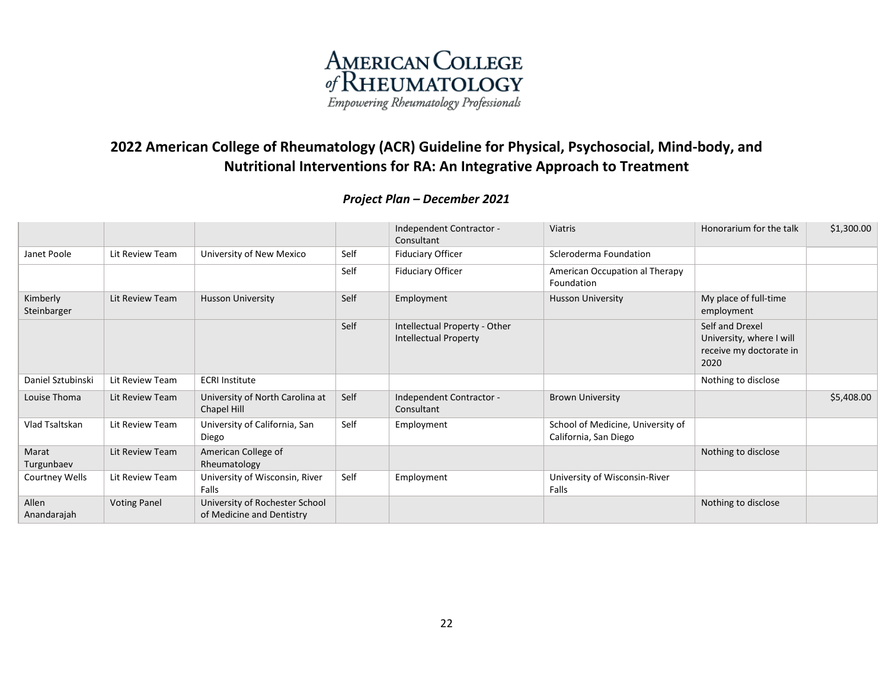

|                         |                     |                                                             |      | Independent Contractor -<br>Consultant                        | <b>Viatris</b>                                             | Honorarium for the talk                                                        | \$1,300.00 |
|-------------------------|---------------------|-------------------------------------------------------------|------|---------------------------------------------------------------|------------------------------------------------------------|--------------------------------------------------------------------------------|------------|
| Janet Poole             | Lit Review Team     | University of New Mexico                                    | Self | Fiduciary Officer                                             | Scleroderma Foundation                                     |                                                                                |            |
|                         |                     |                                                             | Self | <b>Fiduciary Officer</b>                                      | American Occupation al Therapy<br>Foundation               |                                                                                |            |
| Kimberly<br>Steinbarger | Lit Review Team     | <b>Husson University</b>                                    | Self | Employment                                                    | <b>Husson University</b>                                   | My place of full-time<br>employment                                            |            |
|                         |                     |                                                             | Self | Intellectual Property - Other<br><b>Intellectual Property</b> |                                                            | Self and Drexel<br>University, where I will<br>receive my doctorate in<br>2020 |            |
| Daniel Sztubinski       | Lit Review Team     | <b>ECRI Institute</b>                                       |      |                                                               |                                                            | Nothing to disclose                                                            |            |
| Louise Thoma            | Lit Review Team     | University of North Carolina at<br>Chapel Hill              | Self | Independent Contractor -<br>Consultant                        | <b>Brown University</b>                                    |                                                                                | \$5,408.00 |
| Vlad Tsaltskan          | Lit Review Team     | University of California, San<br>Diego                      | Self | Employment                                                    | School of Medicine, University of<br>California, San Diego |                                                                                |            |
| Marat<br>Turgunbaev     | Lit Review Team     | American College of<br>Rheumatology                         |      |                                                               |                                                            | Nothing to disclose                                                            |            |
| Courtney Wells          | Lit Review Team     | University of Wisconsin, River<br>Falls                     | Self | Employment                                                    | University of Wisconsin-River<br>Falls                     |                                                                                |            |
| Allen<br>Anandarajah    | <b>Voting Panel</b> | University of Rochester School<br>of Medicine and Dentistry |      |                                                               |                                                            | Nothing to disclose                                                            |            |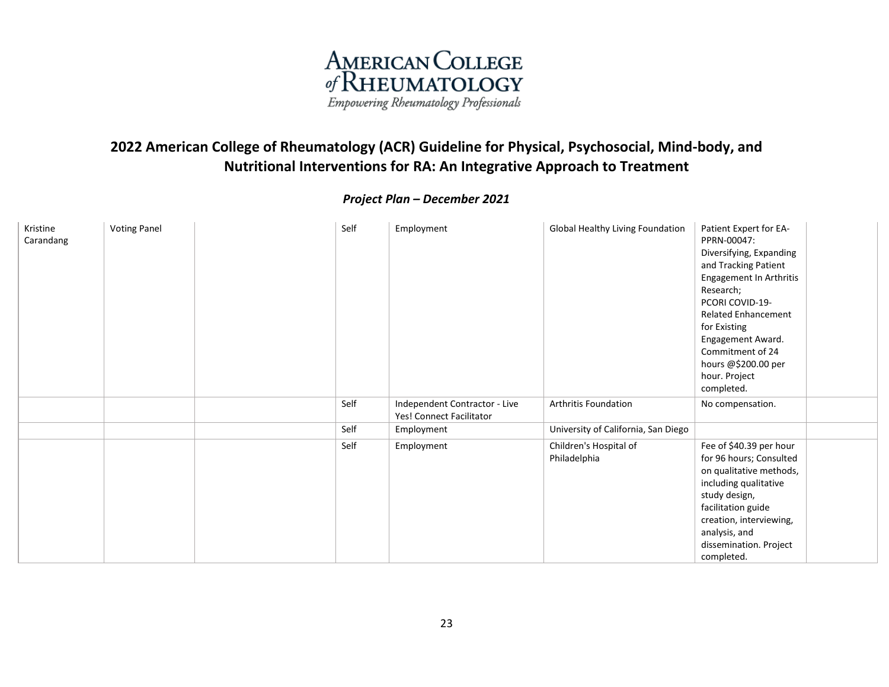

| Kristine<br>Carandang | <b>Voting Panel</b> | Self | Employment                                                | Global Healthy Living Foundation       | Patient Expert for EA-<br>PPRN-00047:<br>Diversifying, Expanding<br>and Tracking Patient<br>Engagement In Arthritis<br>Research;<br>PCORI COVID-19-<br><b>Related Enhancement</b><br>for Existing<br>Engagement Award.<br>Commitment of 24<br>hours @\$200.00 per<br>hour. Project<br>completed. |  |
|-----------------------|---------------------|------|-----------------------------------------------------------|----------------------------------------|--------------------------------------------------------------------------------------------------------------------------------------------------------------------------------------------------------------------------------------------------------------------------------------------------|--|
|                       |                     | Self | Independent Contractor - Live<br>Yes! Connect Facilitator | Arthritis Foundation                   | No compensation.                                                                                                                                                                                                                                                                                 |  |
|                       |                     | Self | Employment                                                | University of California, San Diego    |                                                                                                                                                                                                                                                                                                  |  |
|                       |                     | Self | Employment                                                | Children's Hospital of<br>Philadelphia | Fee of \$40.39 per hour<br>for 96 hours; Consulted<br>on qualitative methods,<br>including qualitative<br>study design,<br>facilitation guide<br>creation, interviewing,<br>analysis, and<br>dissemination. Project<br>completed.                                                                |  |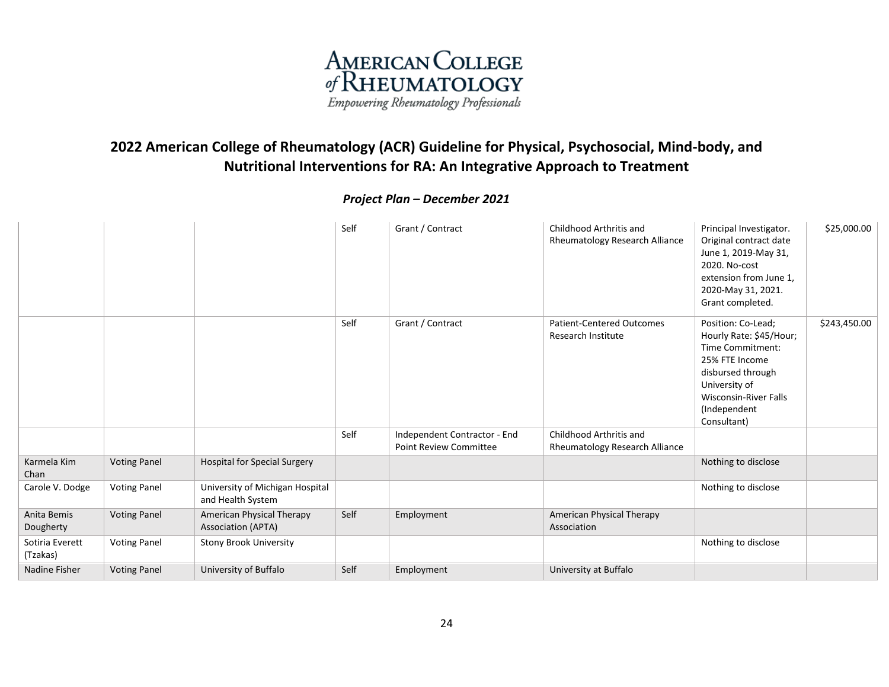

|                             |                     |                                                        | Self | Grant / Contract                                              | Childhood Arthritis and<br>Rheumatology Research Alliance | Principal Investigator.<br>Original contract date<br>June 1, 2019-May 31,<br>2020. No-cost<br>extension from June 1,<br>2020-May 31, 2021.<br>Grant completed.                           | \$25,000.00  |
|-----------------------------|---------------------|--------------------------------------------------------|------|---------------------------------------------------------------|-----------------------------------------------------------|------------------------------------------------------------------------------------------------------------------------------------------------------------------------------------------|--------------|
|                             |                     |                                                        | Self | Grant / Contract                                              | <b>Patient-Centered Outcomes</b><br>Research Institute    | Position: Co-Lead;<br>Hourly Rate: \$45/Hour;<br>Time Commitment:<br>25% FTE Income<br>disbursed through<br>University of<br><b>Wisconsin-River Falls</b><br>(Independent<br>Consultant) | \$243,450.00 |
|                             |                     |                                                        | Self | Independent Contractor - End<br><b>Point Review Committee</b> | Childhood Arthritis and<br>Rheumatology Research Alliance |                                                                                                                                                                                          |              |
| Karmela Kim<br>Chan         | <b>Voting Panel</b> | <b>Hospital for Special Surgery</b>                    |      |                                                               |                                                           | Nothing to disclose                                                                                                                                                                      |              |
| Carole V. Dodge             | <b>Voting Panel</b> | University of Michigan Hospital<br>and Health System   |      |                                                               |                                                           | Nothing to disclose                                                                                                                                                                      |              |
| Anita Bemis<br>Dougherty    | <b>Voting Panel</b> | American Physical Therapy<br><b>Association (APTA)</b> | Self | Employment                                                    | American Physical Therapy<br>Association                  |                                                                                                                                                                                          |              |
| Sotiria Everett<br>(Tzakas) | <b>Voting Panel</b> | <b>Stony Brook University</b>                          |      |                                                               |                                                           | Nothing to disclose                                                                                                                                                                      |              |
| Nadine Fisher               | <b>Voting Panel</b> | University of Buffalo                                  | Self | Employment                                                    | University at Buffalo                                     |                                                                                                                                                                                          |              |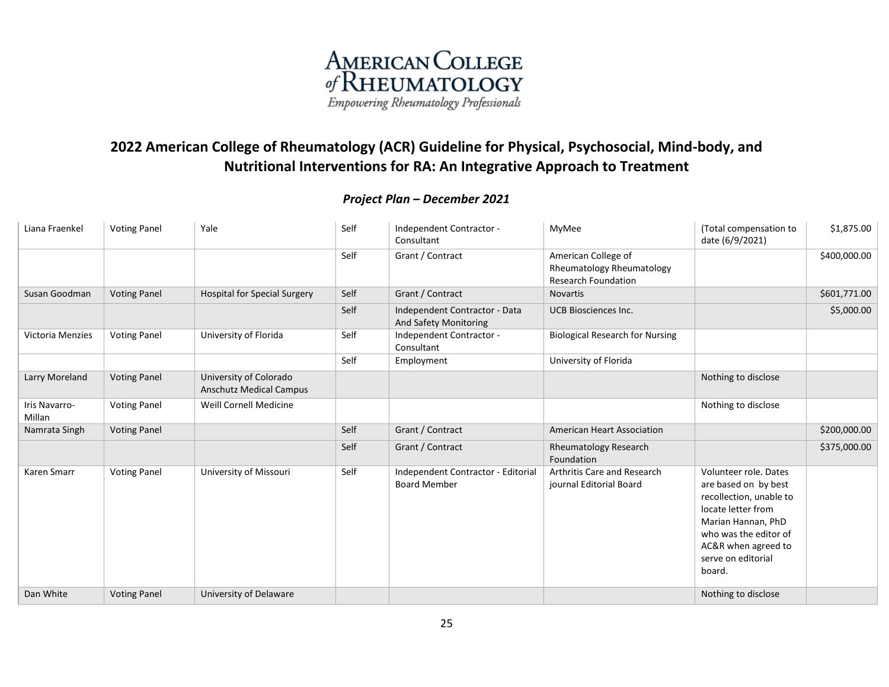

| Liana Fraenkel          | <b>Voting Panel</b> | Yale                                                     | Self | Independent Contractor -<br>Consultant                    | MyMee                                                                          | (Total compensation to<br>date (6/9/2021)                                                                                                                                                            | \$1,875.00   |
|-------------------------|---------------------|----------------------------------------------------------|------|-----------------------------------------------------------|--------------------------------------------------------------------------------|------------------------------------------------------------------------------------------------------------------------------------------------------------------------------------------------------|--------------|
|                         |                     |                                                          | Self | Grant / Contract                                          | American College of<br>Rheumatology Rheumatology<br><b>Research Foundation</b> |                                                                                                                                                                                                      | \$400,000.00 |
| Susan Goodman           | <b>Voting Panel</b> | <b>Hospital for Special Surgery</b>                      | Self | Grant / Contract                                          | <b>Novartis</b>                                                                |                                                                                                                                                                                                      | \$601,771.00 |
|                         |                     |                                                          | Self | Independent Contractor - Data<br>And Safety Monitoring    | <b>UCB Biosciences Inc.</b>                                                    |                                                                                                                                                                                                      | \$5,000.00   |
| Victoria Menzies        | <b>Voting Panel</b> | University of Florida                                    | Self | Independent Contractor -<br>Consultant                    | <b>Biological Research for Nursing</b>                                         |                                                                                                                                                                                                      |              |
|                         |                     |                                                          | Self | Employment                                                | University of Florida                                                          |                                                                                                                                                                                                      |              |
| Larry Moreland          | <b>Voting Panel</b> | University of Colorado<br><b>Anschutz Medical Campus</b> |      |                                                           |                                                                                | Nothing to disclose                                                                                                                                                                                  |              |
| Iris Navarro-<br>Millan | <b>Voting Panel</b> | <b>Weill Cornell Medicine</b>                            |      |                                                           |                                                                                | Nothing to disclose                                                                                                                                                                                  |              |
| Namrata Singh           | <b>Voting Panel</b> |                                                          | Self | Grant / Contract                                          | <b>American Heart Association</b>                                              |                                                                                                                                                                                                      | \$200,000.00 |
|                         |                     |                                                          | Self | Grant / Contract                                          | <b>Rheumatology Research</b><br>Foundation                                     |                                                                                                                                                                                                      | \$375,000.00 |
| <b>Karen Smarr</b>      | <b>Voting Panel</b> | University of Missouri                                   | Self | Independent Contractor - Editorial<br><b>Board Member</b> | <b>Arthritis Care and Research</b><br>journal Editorial Board                  | Volunteer role. Dates<br>are based on by best<br>recollection, unable to<br>locate letter from<br>Marian Hannan, PhD<br>who was the editor of<br>AC&R when agreed to<br>serve on editorial<br>board. |              |
| Dan White               | <b>Voting Panel</b> | University of Delaware                                   |      |                                                           |                                                                                | Nothing to disclose                                                                                                                                                                                  |              |